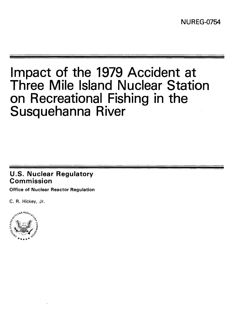# Impact of the 1979 Accident at Three Mile Island Nuclear Station on Recreational Fishing in the Susquehanna River

## U.S. Nuclear Regulatory Commission

Office of Nuclear Reactor Regulation

C. R. Hickey, Jr.

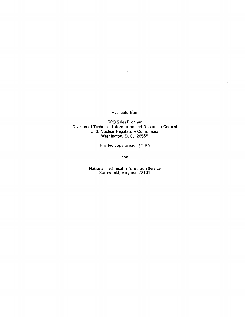Available from

 $\langle x_{\rm obs}\rangle$ 

GPO Sales Program Division of Technical Information and Document Control U.S. Nuclear Regulatory Commission Washington, D. C. 20555

Printed copy price: \$2.50

and

National Technical Information Service Springfield, Virginia 22161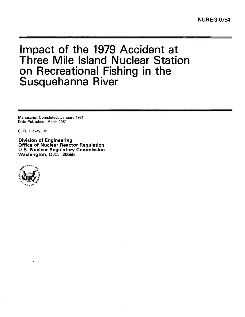## **Impact of the 1979 Accident at Three Mile Island Nuclear Station on Recreational Fishing in the Susquehanna River**

I

Manuscript Completed: January 1981 Date Published: March 1981

C. R. Hickey, Jr.

Division of Engineering Office of Nuclear Reactor Regulation U.S. Nuclear Regulatory Commission Washington, D.C. 20555

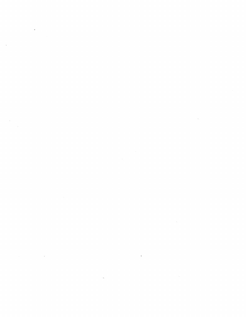$\mathcal{L}(\mathcal{A})$  and  $\mathcal{L}(\mathcal{A})$  $\label{eq:2.1} \frac{1}{\sqrt{2}}\int_{\mathbb{R}^3}\frac{1}{\sqrt{2}}\left(\frac{1}{\sqrt{2}}\right)^2\frac{1}{\sqrt{2}}\left(\frac{1}{\sqrt{2}}\right)^2\frac{1}{\sqrt{2}}\left(\frac{1}{\sqrt{2}}\right)^2\frac{1}{\sqrt{2}}\left(\frac{1}{\sqrt{2}}\right)^2.$  $\label{eq:2.1} \begin{split} \mathcal{L}_{\text{max}}(\mathbf{r}) = \mathcal{L}_{\text{max}}(\mathbf{r}) \,, \end{split}$  $\label{eq:2.1} \frac{1}{\sqrt{2}}\sum_{i=1}^n\frac{1}{\sqrt{2}}\sum_{i=1}^n\frac{1}{\sqrt{2}}\sum_{i=1}^n\frac{1}{\sqrt{2}}\sum_{i=1}^n\frac{1}{\sqrt{2}}\sum_{i=1}^n\frac{1}{\sqrt{2}}\sum_{i=1}^n\frac{1}{\sqrt{2}}\sum_{i=1}^n\frac{1}{\sqrt{2}}\sum_{i=1}^n\frac{1}{\sqrt{2}}\sum_{i=1}^n\frac{1}{\sqrt{2}}\sum_{i=1}^n\frac{1}{\sqrt{2}}\sum_{i=1}^n\frac$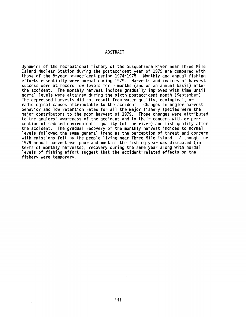#### **ABSTRACT**

Dynamics of the recreational fishery of the Susquehanna River near Three Mile Island Nuclear Station during the postaccident year of 1979 are compared with those of the 5-year preaccident period 1974-1978. Monthly and annual fishing efforts essentially were normal during 1979. Harvests and indices of harvest success were at record low levels for 5 months (and on an annual basis) after the accident. The monthly harvest indices gradually improved with time until normal levels were attained during the sixth postaccident month (September). The depressed harvests did not result from water quality, ecological, or radiological causes attributable to the accident. Changes in angler harvest behavior and low retention rates for all the major fishery species were the major contributors to the poor harvest of 1979. Those changes were attributed to the anglers' awareness of the accident and to their concern with or perception of reduced environmental quality (of the river) and fish quality after The gradual recovery of the monthly harvest indices to normal levels followed the same general trend as the perception of threat and concern with emissions felt by the people living near Three Mile Island. Although the 1979 annual harvest was poor and most of the fishing year was disrupted (in terms of monthly harvests), recovery during the same year along with normal levels of fishing effort suggest that the accident-related effects on the fishery were temporary.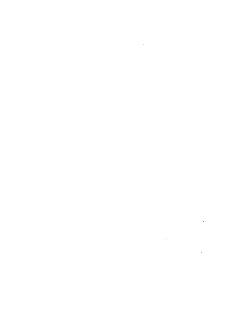$\label{eq:2.1} \frac{1}{\sqrt{2}}\int_{\mathbb{R}^3}\frac{1}{\sqrt{2}}\left(\frac{1}{\sqrt{2}}\right)^2\frac{1}{\sqrt{2}}\left(\frac{1}{\sqrt{2}}\right)^2\frac{1}{\sqrt{2}}\left(\frac{1}{\sqrt{2}}\right)^2\frac{1}{\sqrt{2}}\left(\frac{1}{\sqrt{2}}\right)^2.$ 

 $\label{eq:2.1} \begin{split} \mathcal{L}_{\text{max}}(\mathbf{X},\mathbf{X}) &= \mathcal{L}_{\text{max}}(\mathbf{X},\mathbf{X}) \mathcal{L}_{\text{max}}(\mathbf{X},\mathbf{X}) \\ &= \mathcal{L}_{\text{max}}(\mathbf{X},\mathbf{X}) \mathcal{L}_{\text{max}}(\mathbf{X},\mathbf{X}) \mathcal{L}_{\text{max}}(\mathbf{X},\mathbf{X}) \mathcal{L}_{\text{max}}(\mathbf{X},\mathbf{X}) \end{split}$ 

 $\sim 10^{-10}$  $\label{eq:2.1} \mathcal{L}(\mathcal{L}^{\text{max}}_{\text{max}}(\mathcal{L}^{\text{max}}_{\text{max}}))$ 

 $\sim 30\%$ 

 $\label{eq:2.1} \frac{1}{\sqrt{2}}\int_{\mathbb{R}^3}\frac{1}{\sqrt{2}}\left(\frac{1}{\sqrt{2}}\right)^2\frac{1}{\sqrt{2}}\left(\frac{1}{\sqrt{2}}\right)^2\frac{1}{\sqrt{2}}\left(\frac{1}{\sqrt{2}}\right)^2\frac{1}{\sqrt{2}}\left(\frac{1}{\sqrt{2}}\right)^2.$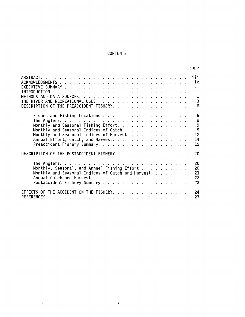### CONTENTS

|                                                                                                                                                                  | Page                                                       |
|------------------------------------------------------------------------------------------------------------------------------------------------------------------|------------------------------------------------------------|
| INTRODUCTION.<br>DESCRIPTION OF THE PREACCIDENT FISHERY.                                                                                                         | iii<br>ix<br>хi<br>$\mathbf 1$<br>1<br>$\overline{3}$<br>6 |
| Monthly and Seasonal Fishing Effort.<br>Monthly and Seasonal Indices of Catch.<br>Monthly and Seasonal Indices of Harvest.<br>Annual Effort, Catch, and Harvest. | 6<br>8<br>9<br>$\overline{9}$<br>12<br>14<br>19            |
| DESCRIPTION OF THE POSTACCIDENT FISHERY                                                                                                                          | 20                                                         |
| Monthly, Seasonal, and Annual Fishing Effort<br>Monthly and Seasonal Indices of Catch and Harvest.                                                               | 20<br>20<br>21<br>22<br>23                                 |
| EFFECTS OF THE ACCIDENT ON THE FISHERY.<br>REFERENCES.<br>$\mathcal{A}$ . The contribution of the contribution of the contribution of the contribution of        | 24<br>27                                                   |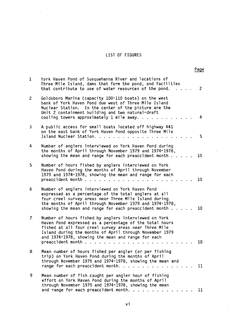#### LIST OF FIGURES

 $\ddot{\phantom{a}}$ 

| 1              | York Haven Pond of Susquehanna River and locations of<br>Three Mile Island, dams that form the pond, and facilities<br>that contribute to use of water resources of the pond.                                                                                                                                            | $\mathbf{2}$    |
|----------------|--------------------------------------------------------------------------------------------------------------------------------------------------------------------------------------------------------------------------------------------------------------------------------------------------------------------------|-----------------|
| $\overline{c}$ | Goldsboro Marina (capacity 100-110 boats) on the west<br>bank of York Haven Pond due west of Three Mile Island<br>Nuclear Station. In the center of the picture are the<br>Unit 2 containment building and two natural-draft<br>cooling towers approximately $1$ mile away.                                              | 4               |
| 3              | A public access for small boats located off highway 441<br>on the east bank of York Haven Pond opposite Three Mile<br>Island Nuclear Station.                                                                                                                                                                            | 5               |
| 4              | Number of anglers interviewed on York Haven Pond during<br>the months of April through November 1979 and 1974-1978,<br>showing the mean and range for each preaccident month $\ldots$ .<br>$10\,$                                                                                                                        |                 |
| 5              | Number of hours fished by anglers interviewed on York<br>Haven Pond during the months of April through November<br>1979 and 1974-1978, showing the mean and range for each<br>preaccident month                                                                                                                          | $10\,$          |
| 6              | Number of anglers interviewed on York Haven Pond<br>expressed as a percentage of the total anglers at all<br>four creel survey areas near Three Mile Island during<br>the months of April through November 1979 and 1974-1978,<br>showing the mean and range for each preaccident month                                  | 10 <sup>°</sup> |
| $\overline{7}$ | Number of hours fished by anglers interviewed on York<br>Haven Pond expressed as a percentage of the total hours<br>fished at all four creel survey areas near Three Mile<br>Island during the months of April through November 1979<br>and 1974-1978, showing the mean and range for each<br>preaccident month $\ldots$ | 10              |
| 8              | Mean number of hours fished per angler (or per fishing<br>trip) on York Haven Pond during the months of April<br>through November 1979 and 1974-1978, showing the mean and<br>range for each preaccident month.                                                                                                          | 11              |
| 9              | Mean number of fish caught per angler hour of fishing<br>effort on York Haven Pond during the months of April<br>through November 1979 and 1974-1978, showing the mean<br>and range for each preaccident month. $\ldots$                                                                                                 | 11              |

Page

 $\ddot{\phantom{0}}$ 

 $\sim 10$ 

 $\bar{z}$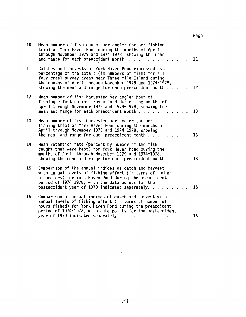## Page

| 10              | Mean number of fish caught per angler (or per fishing<br>trip) on York Haven Pond during the months of April<br>through November 1979 and 1974-1978, showing the mean<br>and range for each preaccident month                                                                                 | 11              |
|-----------------|-----------------------------------------------------------------------------------------------------------------------------------------------------------------------------------------------------------------------------------------------------------------------------------------------|-----------------|
| 11              | Catches and harvests of York Haven Pond expressed as a<br>percentage of the totals (in numbers of fish) for all<br>four creel survey areas near Three Mile Island during<br>the months of April through November 1979 and 1974-1978,<br>showing the mean and range for each preaccident month | 12 <sup>2</sup> |
| 12              | Mean number of fish harvested per angler hour of<br>fishing effort on York Haven Pond during the months of<br>April through November 1979 and 1974-1978, showing the<br>mean and range for each preaccident month $\ldots$                                                                    | 13              |
| 13 <sup>2</sup> | Mean number of fish harvested per angler (or per<br>fishing trip) on York Haven Pond during the months of<br>April through November 1979 and 1974-1978, showing<br>the mean and range for each preaccident month $\ldots$ .                                                                   | 13              |
| 14              | Mean retention rate (percent by number of the fish<br>caught that were kept) for York Haven Pond during the<br>months of April through November 1979 and 1974-1978,<br>showing the mean and range for each preaccident month.                                                                 | 13              |
| 15 <sup>°</sup> | Comparison of the annual indices of catch and harvest<br>with annual levels of fishing effort (in terms of number<br>of anglers) for York Haven Pond during the preaccident<br>period of 1974-1978, with the data points for the<br>postaccident year of 1979 indicated separately            | 15              |
| 16              | Comparison of annual indices of catch and harvest with<br>annual levels of fishing effort (in terms of number of<br>hours fished) for York Haven Pond during the preaccident<br>period of 1974-1978, with data points for the postaccident<br>year of 1979 indicated separately $\dots$       | 16              |

 $\mathcal{L}^{\text{max}}_{\text{max}}$ 

 $\mathcal{L}^{\text{max}}_{\text{max}}$  and  $\mathcal{L}^{\text{max}}_{\text{max}}$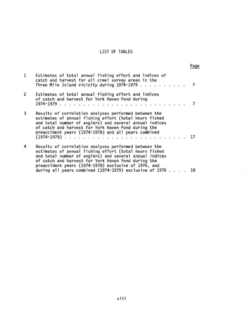#### LIST OF TABLES

| $\mathbf{1}$   | Estimates of total annual fishing effort and indices of<br>catch and harvest for all creel survey areas in the<br>Three Mile Island vicinity during $1974 - 1979$                                                                                                                                                                                                      |
|----------------|------------------------------------------------------------------------------------------------------------------------------------------------------------------------------------------------------------------------------------------------------------------------------------------------------------------------------------------------------------------------|
| 2 <sup>1</sup> | Estimates of total annual fishing effort and indices<br>of catch and harvest for York Haven Pond during                                                                                                                                                                                                                                                                |
| 3              | Results of correlation analyses performed between the<br>estimates of annual fishing effort (total hours fished<br>and total number of anglers) and several annual indices<br>of catch and harvest for York Haven Pond during the<br>preaccident years (1974-1978) and all years combined<br>$\sqrt{17}$                                                               |
| 4              | Results of correlation analyses performed between the<br>estimates of annual fishing effort (total hours fished<br>and total number of anglers) and several annual indices<br>of catch and harvest for York Haven Pond during the<br>preaccident years (1974-1978) exclusive of 1976, and<br>during all years combined (1974-1979) exclusive of 1976 $\ldots$ .<br>-18 |

Page

 $\mathbb{Z}$ 

 $\hat{\mathcal{A}}$ 

 $\overline{\phantom{a}}$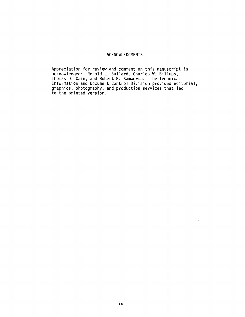#### ACKNOWLEDGMENTS

Appreciation for review and comment on this manuscript is acknowledged: Ronald L. Ballard, Charles W. Billups, Thomas D. Cain, and Robert B. Samworth. The Technical Information and Document Control Division provided editorial, graphics, photography, and production services that led to the printed version.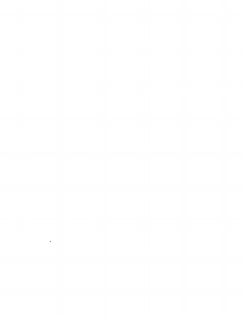$\label{eq:2.1} \frac{1}{\sqrt{2}}\int_{\mathbb{R}^3}\frac{1}{\sqrt{2}}\left(\frac{1}{\sqrt{2}}\right)^2\frac{1}{\sqrt{2}}\left(\frac{1}{\sqrt{2}}\right)^2\frac{1}{\sqrt{2}}\left(\frac{1}{\sqrt{2}}\right)^2\frac{1}{\sqrt{2}}\left(\frac{1}{\sqrt{2}}\right)^2.$ 

 $\label{eq:2.1} \frac{1}{\sqrt{2\pi}}\int_{0}^{\infty} \frac{d\mu}{\sqrt{2\pi}}\left(\frac{d\mu}{\mu}\right)^2\frac{d\mu}{\mu}\left(\frac{d\mu}{\mu}\right)^2\frac{d\mu}{\mu}\left(\frac{d\mu}{\mu}\right)^2.$ 

 $\label{eq:2.1} \frac{1}{\sqrt{2}}\int_{0}^{\infty}\frac{1}{\sqrt{2\pi}}\left(\frac{1}{\sqrt{2\pi}}\right)^{2\alpha} \frac{1}{\sqrt{2\pi}}\int_{0}^{\infty}\frac{1}{\sqrt{2\pi}}\frac{1}{\sqrt{2\pi}}\frac{1}{\sqrt{2\pi}}\frac{1}{\sqrt{2\pi}}\frac{1}{\sqrt{2\pi}}\frac{1}{\sqrt{2\pi}}\frac{1}{\sqrt{2\pi}}\frac{1}{\sqrt{2\pi}}\frac{1}{\sqrt{2\pi}}\frac{1}{\sqrt{2\pi}}\frac{1}{\sqrt{2\pi}}\frac{1}{$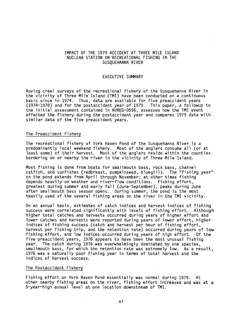#### IMPACT OF THE 1979 ACCIDENT AT THREE MILE ISLAND NUCLEAR STATION ON RECREATIONAL FISHING IN THE SUSQUEHANNA RIVER

#### EXECUTIVE SUMMARY

Roving creel surveys of the recreational fishery of the Susquehanna River in the vicinity of Three Mile Island (TMI) have been conducted on a continuous basis since in 1974. Thus, data are available for five preaccident years (1974-1978) and for the postaccident year of 1979. This paper, a followup to the initial assessment contained in NUREG-0596, assesses how the TMI event affected the fishery during the postaccident year and compares 1979 data with similar data of the five preaccident years.

#### The Preaccident Fishery

The recreational fishery of York Haven Pond of the Susquehanna River is a predominantly local weekend fishery. Most of the anglers consume all (or at least some) of their harvest. Most of the anglers reside within the counties bordering on or nearby the river in the vicinity of Three Mile Island.

Most fishing is done from boats for smallmouth bass, rock bass, channel catfish, and sunfishes (redbreast, pumpkinseed, bluegill). The "fishing year" on the pond extends from April through November; at other times fishing depends heavily on weather and river-flow conditions. Fishing effort, greatest during summer and early fall (June-September), peaks during June after smallmouth bass season opens. During summer, the pond is the most heavily used of the several fishing areas on the river in the TMI vicinity.

On an annual basis, estimates of catch indices and harvest indices of fishing success were correlated significantly with levels of fishing effort. Although higher total catches and harvests occurred during years of higher effort and lower catches and harvests were reported during years of lower effort, higher indices of fishing success (catch and harvest per hour of fishing effort, harvest per fishing trip, and the retention rate) occurred during years of low fishing effort, and low indices occurred during years of high effort. Of the five preaccident years, 1976 appears to have been the most unusual fishing year. The catch during 1976 was overwhelmingly dominated by one species, smallmouth bass, for which the retention rate was extremely low. As a result, 1976 was a naturally poor fishing year in terms of total harvest and the indices of harvest success.

#### The Postaccident Fishery

Fishing effort on York Haven Pond essentially was normal during 1979. At other nearby fishing areas on the river, fishing effort increased and was at a 5-year-high annual level at one location downstream of TMI.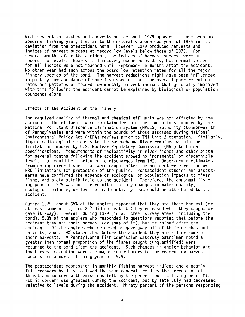With respect to catches and harvests on the pond, 1979 appears to have been an abnormal fishing year, similar to the naturally anomalous year of 1976 in its deviation from the preaccident norm. However, 1979 produced harvests and indices of harvest success at record low levels below those of 1976. For several months after the accident, the indices of harvest success were at record low levels. Nearly full recovery occurred by July, but normal values for all indices were not reached until September, 6 months after the accident. No other year had such across-the-board low retention rates for all the major fishery species of the pond. The harvest reductions might have been influenced in part by low abundance of some fish species, but the overall poor retention rates and patterns of record low monthly harvest indices that gradually improved with time following the accident cannot be explained by biological or population abundance alone.

#### Effects of the Accident on the Fishery

The required quality of thermal and chemical effluents was not affected by the accident. The effluents were maintained within the limitations imposed by the National Pollutant Discharge Elimination System (NPDES) authority (Commonwealth of Pennsylvania) and were within the bounds of those assessed during National Environmental Policy Act (NEPA) reviews prior to TMI Unit 2 operation. Similarly, liquid radiological releases to the Susquehanna River remained within the limitations imposed by U.S. Nuclear Regulatory Commission (NRC) technical specifications. Measurements of radioactivity in river fishes and other biota for several months following the accident showed no incremental or discernible levels that could be attributed to discharges from TMI. Dose-to-man estimates from eating river fishes that were caught after the accident were well below NRC limitations for protection of the public. Postaccident studies and assessments have confirmed the absence of ecological or population impacts to river fishes and biota attributable to the accident. Therefore, the abnormal fish-<br>ing year of 1979 was not the result of of any changes in water quality, ecological balance, or level of radioactivity that could be attributed to the accident.

During 1979, about 65% of the anglers reported that they ate their harvest (or at least some of it) and 35% did not eat it (they released what they caught or gave it away). Overall during 1979 (in all creel survey areas, including the pond), 5.8% of the anglers who responded to questions reported that before the accident they ate their harvest (or some of it), but refrained after the accident. Of the anglers who released or gave away all of their catches and harvests, about 18% stated that before the accident they ate all or some of their harvests. A Pennsylvania Fish Commission waterway patrolman noted a greater than normal proportion of the fishes caught (unquantified) were returned to the pond after the accident. Such changes in angler behavior and low harvest retention were the major contributors to the record low harvest success and abnormal fishing year of 1979.

The postaccident depression in monthly fishing harvest indices and a nearly full recovery by July followed the same general trend as the perception of threat and concern with emissions felt by the general public living near TMI. Public concern was greatest during the accident, but by late July had decreased relative to levels during the accident. Ninety percent of the persons responding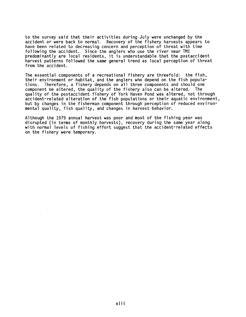to the survey said that their activities during July were unchanged by the accident or were back to normal. Recovery of the fishery harvests appears to have been related to decreasing concern and perception of threat with time following the accident. Since the anglers who use the river near TMI predominantly are local residents, it is understandable that the postaccident harvest patterns followed the same general trend as local perception of threat from the accident.

The essential components of a recreational fishery are threefold: the fish, their environment or habitat, and the anglers who depend on the fish populations. Therefore, a fishery depends on all three components and should one component be altered, the quality of the fishery also can be altered. The quality of the postaccident fishery of York Haven Pond was altered, not through accident-related alteration of the fish populations or their aquatic environment, but by changes in the fisherman component through perception of reduced environmental quality, fish quality, and changes in harvest behavior.

Although the 1979 annual harvest was poor and most of the fishing year was disrupted (in terms of monthly harvests), recovery during the same year along with normal levels of fishing effort suggest that the accident-related effects on the fishery were temporary.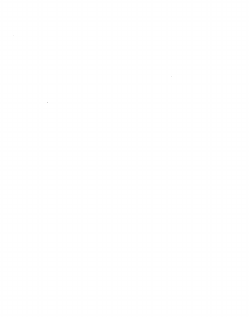$\label{eq:2.1} \frac{1}{\sqrt{2}}\sum_{i=1}^n\frac{1}{\sqrt{2\pi}}\sum_{i=1}^n\frac{1}{\sqrt{2\pi}}\sum_{i=1}^n\frac{1}{\sqrt{2\pi}}\sum_{i=1}^n\frac{1}{\sqrt{2\pi}}\sum_{i=1}^n\frac{1}{\sqrt{2\pi}}\sum_{i=1}^n\frac{1}{\sqrt{2\pi}}\sum_{i=1}^n\frac{1}{\sqrt{2\pi}}\sum_{i=1}^n\frac{1}{\sqrt{2\pi}}\sum_{i=1}^n\frac{1}{\sqrt{2\pi}}\sum_{i=1}^n\frac{$  $\label{eq:2.1} \frac{1}{\sqrt{2}}\int_{\mathbb{R}^3}\frac{1}{\sqrt{2}}\left(\frac{1}{\sqrt{2}}\right)^2\frac{1}{\sqrt{2}}\left(\frac{1}{\sqrt{2}}\right)^2\frac{1}{\sqrt{2}}\left(\frac{1}{\sqrt{2}}\right)^2\frac{1}{\sqrt{2}}\left(\frac{1}{\sqrt{2}}\right)^2.$  $\label{eq:2.1} \mathcal{L}(\mathcal{L}^{\text{max}}_{\mathcal{L}}(\mathcal{L}^{\text{max}}_{\mathcal{L}})) \leq \mathcal{L}(\mathcal{L}^{\text{max}}_{\mathcal{L}}(\mathcal{L}^{\text{max}}_{\mathcal{L}}))$  $\label{eq:2.1} \frac{1}{\sqrt{2\pi}}\int_{0}^{\infty}\frac{1}{\sqrt{2\pi}}\left(\frac{1}{\sqrt{2\pi}}\right)^{2\alpha} \frac{1}{\sqrt{2\pi}}\int_{0}^{\infty}\frac{1}{\sqrt{2\pi}}\left(\frac{1}{\sqrt{2\pi}}\right)^{\alpha} \frac{1}{\sqrt{2\pi}}\frac{1}{\sqrt{2\pi}}\int_{0}^{\infty}\frac{1}{\sqrt{2\pi}}\frac{1}{\sqrt{2\pi}}\frac{1}{\sqrt{2\pi}}\frac{1}{\sqrt{2\pi}}\frac{1}{\sqrt{2\pi}}\frac{1}{\sqrt{2\$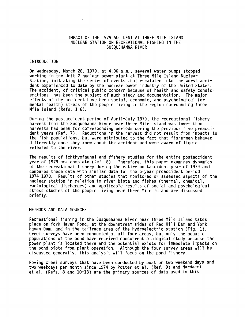#### IMPACT OF THE 1979 ACCIDENT AT THREE MILE ISLAND NUCLEAR STATION ON RECREATIONAL FISHING IN THE SUSQUEHANNA RIVER

#### INTRODUCTION

On Wednesday, March 28, 1979, at 4:00 a.m., several water pumps stopped working in the Unit 2 nuclear power plant at Three Mile Island Nuclear Station, initiating the series of events that escalated into the worst accident experienced to date by the nuclear power industry of the United States. The accident, of critical public concern because of health and safety considerations, has been the subject of much study and documentation. The major effects of the accident have been social, economic, and psychological (or mental health) stress of the people living in the region surrounding Three Mile Island (Refs. 1-6).

During the postaccident period of April-July 1979, the recreational fishery harvest from the Susquehanna River near Three Mile Island was lower than harvests had been for corresponding periods during the previous five preaccident years (Ref. 7). Reductions in the harvest did not result from impacts to the fish populations, but were attributed to the fact that fishermen behaved differently once they knew about the accident and were aware of liquid releases to the river.

The results of ichthyofaunal and fishery studies for the entire postaccident year of 1979 are complete (Ref. 8). Therefore, this paper examines dynamics of the recreational fishery during the entire postaccident year of 1979 and compares these data with similar data for the 5-year preaccident period 1974-1978. Results of other studies that monitored or assessed aspects of the nuclear station in relation to river biota and fishes (thermal, chemical, radiological discharges) and applicable results of social and psychological stress studies of the people living near Three Mile Island are discussed briefly.

#### METHODS AND DATA SOURCES

Recreational fishing in the Susquehanna River near Three Mile Island takes place on York Haven Pond, at the downstream sides of Red Hill Dam and York Haven Dam, and in the tailrace area of the hydroelectric station (Fig. 1). Creel surveys have been conducted at all four areas, but only the aquatic populations of the pond have received concurrent biological study because the power plant is located there and the potential exists for immediate impacts on the pond biota from plant operation. Although the four survey areas will be discussed generally, this analysis will focus on the pond fishery.

Roving creel surveys that have been conducted by boat on two weekend days and two weekdays per month since 1974 by Potter et al. (Ref. 9) and Nardacci et al. (Refs. 8 and 10-13) are the primary sources of data used in this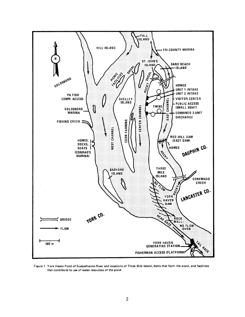

Figure 1 York Haven Pond of Susquehanna River and locations of Three Mile Island, dams that form the pond, and facilities that contribute to use of water resources of the pond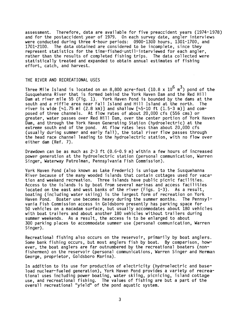assessment. Therefore, data are available for five preaccident years (1974-1978) and for the postaccident year of 1979. On each survey date, angler interviews were conducted during three 4-hour periods: 0900-1300 hours, 1301-1700, and 1701-2100. The data obtained are considered to be incomplete, since they represent statistics for the time-fished-until-interviewed for each angler,<br>rather than the results of completed fishing trips. The data collected were statistically treated and expanded to obtain annual estimates of fishing effort, catch, and harvest.

#### THE RIVER AND RECREATIONAL USES

Three Mile Island is located on an 8,800 acre-foot (10.8 x  $10^6$  m<sup>3</sup>) pond of the Susquehanna River that is formed behind the York Haven Dam and the Red Hill Dam at river mile 55 (Fig. 1). York Haven Pond is bounded by the dams at the south and a riffle area near Fall Island and Hill Island at the north. The river is wide  $\lceil \sim 1.75 \text{ mi}$  (2.8 km)] and shallow  $\lceil \sim 5-10 \text{ ft}$  (1.5-3 m)] and composed of three channels. At flow rates of about 20,000 cfs (556 ems) or greater, water passes over Red Hill Dam, over the center portion of York Haven Dam, and through the York Haven Generating Station (hydroelectric) at the extreme south end of the pond. At flow rates less than about 20,000 cfs (usually during summer and early fall), the total river flow passes through the head race channel leading to the hydroelectric station, with no flow over either dam (Ref. 7).

Drawdown can be as much as  $2-3$  ft  $(0.6-0.9 \text{ m})$  within a few hours of increased power generation at the hydroelectric station (personal communication, Warren Singer, Waterway Patrolman, Pennsylvania Fish Commission).

York Haven Pond (also known as Lake Frederic) is unique to the Susquehanna<br>River because of the many wooded islands that contain cottages used for vacation and weekend recreation. Three islands have public picnic facilities. Access to the islands is by boat from several marinas and access facilities located on the east and west banks of the river (Figs. 1-3). As a result, boating (including water skiing) is the largest form of recreation on York<br>Haven Pond. Boater use becomes heavy during the summer months. The Pennsylvania Fish Commission access in Goldsboro presently has parking space for 50 vehicles on a macadam surface, but usually accommodates about 180 vehicles with boat trailers and about another 180 vehicles without trailers during summer weekends. As a result, the access is to be enlarged to about 300 parking places to accommodate summer use (personal communication, Warren Singer).

Recreational fishing also occurs on the reservoir, primarily by boat anglers. Some bank fishing occurs, but most anglers fish by boat. By comparison, however, the boat anglers are far outnumbered by the recreational boaters (nonfishermen) on the reservoir (personal communications, Warren Singer and Herman George, proprietor, Goldsboro Marina).

In addition to its use for production of electricity (hydroelectric and baseload nuclear-fueled generation), York Haven Pond provides a variety of recreational uses including power boating, water skiing, picnicing, island cottage use, and recreational fishing. The values of fishing are but a part of the overall recreational "yield" of the pond aquatic system.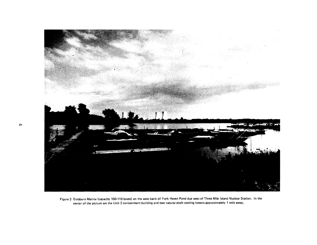

Figure 2 Golsboro Marina (capacity 100-110 boats) on the west bank of York Haven Pond due west of Three Mile Island Nuclear Station. In the center of the picture are the Unit 2 containment building and two natural-draft cooling towers approximately 1 mile away.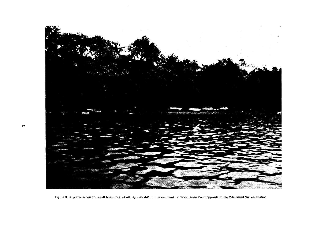

Figure 3 A public access for small boats located off highway **441** on the east bank of York Haven Pond opposite Three Mile Island Nuclear Station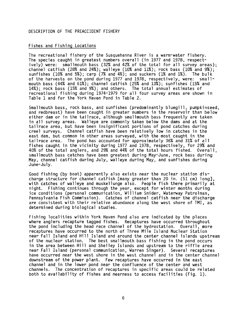#### DESCRIPTION OF THE PREACCIDENT FISHERY

#### Fishes and Fishing Locations

The recreational fishery of the Susquehanna River is a warm-water fishery. The species caught in greatest numbers overall (in 1977 and 1978, respect-<br>ively) were: smallmouth bass (32% and 42% of the total for all survey are smallmouth bass (32% and 42% of the total for all survey areas); channel catfish (28% and 24%); walleye (10% and 11%); rock bass (10% and 9%); sunfishes (10% and 5%); carp (7% and 4%); and suckers (1% and 1%). The bulk of the harvests on the pond during 1977 and 1978, respectively, were: smallmouth bass (44% and 61%); channel catfish (25% and 13%); sunfishes (15% and 14%); rock bass (15% and 9%); and others. The total annual estimates of recreational fishing during 1974-1979 for all four survey areas are shown in Table 1 and for the York Haven Pond in Table *2.* 

Smallmouth bass, rock bass, and sunfishes (predominantly bluegill, pumpkinseed, and redbreast) have been caught in greater numbers in the reservoir than below either dam or in the tailrace, although smallmouth bass frequently are taken in all survey areas. Walleye are commonly taken below the dams and at the tailrace area, but have been insignificant portions of pond catches during creel surveys. Channel catfish have been relatively low in catches in the east dam, but common in other areas surveyed, with the most caught in the<br>tailrace area. The pond has accounted for approximately 36% and 31% of a The pond has accounted for approximately 36% and 31% of all fishes caught in the vicinity during 1977 and 1978, respectively, for 29% and 40% of the total anglers, and 29% and 44% of the total hours fished. Overall, smallmouth bass catches have been greatest during May-June, rock bass during May, channel catfish during July, walleye during May, and sunfishes during June-July.

Good fishing (by boat) apparently also exists near the nuclear station discharge structure for channel catfish [many greater than *20* in. (51 em) long], with catches of walleye and muskellunge also. People fish there primarily at night. Fishing continues through the year, except for winter months during Fishing continues through the year, except for winter months during ice conditions (personal communication, William Snider, Waterway Patrolman, Pennsylvania Fish Commission). Catches of channel catfish near the discharge are consistent with their relative abundance along the west shore of TMI, as determined during biological studies.

Fishing localities within York Haven Pond also are indicated by the places where anglers recapture tagged fishes. Recaptures have occurred throughout the pond including the head race channel of the hydrostation. Overall, more recaptures have occurred to the north of Three Mile Island Nuclear Station near Fall Island and Hill Island and around the center channel islands upstream of the nuclear station. The best smallmouth bass fishing in the pond occurs in the area between Hill and Shelley Islands and upstream to the riffle area near Fall Island (personal communication, Warren Singer). Several recaptures have occurred near the west shore in the west channel and in the center channel downstream of the power plant. Few recaptures have occurred in the east channel and in the lower pond near the confluence of the center and west channels. The concentration of recaptures in specific areas could be related both to availability of fishes and nearness to access facilities (Fig. 1).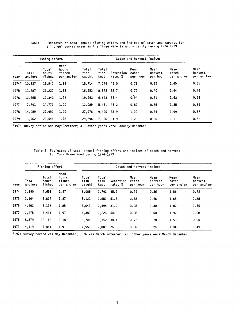|         | Fishing effort   |                          | Catch and harvest indices             |                         |                       |                      |                           |                             |                             |                               |
|---------|------------------|--------------------------|---------------------------------------|-------------------------|-----------------------|----------------------|---------------------------|-----------------------------|-----------------------------|-------------------------------|
| Year    | Total<br>anglers | Total<br>hours<br>fished | Mean<br>hours<br>fished<br>per angler | Total<br>fish<br>caught | Total<br>fish<br>kept | Retention<br>rate, % | Mean<br>catch<br>per hour | Mean<br>harvest<br>per hour | Mean<br>catch<br>per angler | Mean<br>harvest<br>per angler |
| $1974*$ | 10,837           | 19.940                   | 1.84                                  | 15,714                  | 7.044 45.0            |                      | 0.79                      | 0.35                        | 1.45                        | 0.65                          |
| 1975    | 11,287           | 21,220                   | 1.88                                  | 16.253                  | 8,578 52.7            |                      | 0.77                      | 0.40                        | 1.44                        | 0.76                          |
| 1976    | 12,265           | 21,341                   | 1.74                                  | 19,992                  | 6,623 33.4            |                      | 0.94                      | 0.31                        | 1.63                        | 0.54                          |
| 1977    | 7,791            | 14,773                   | 1.90                                  | 12,089                  | 5.431 44.2            |                      | 0.82                      | 0.36                        | 1.55                        | 0.69                          |
| 1978    | 14,089           | 27,992                   | 1.99                                  | 27,976                  | 9,490                 | 33.9                 | 1.00                      | 0.34                        | 1.99                        | 0.67                          |
| 1979    | 13,962           | 24,546                   | 1.76                                  | 29,396                  | 7,306                 | 24.9                 | 1.20                      | 0.30                        | 2.11                        | 0.52                          |

|  |  | Table 1 Estimates of total annual fishing effort and indices of catch and harvest for |  |
|--|--|---------------------------------------------------------------------------------------|--|
|  |  | all creel survey areas in the Three Mile Island vicinity during 1974-1979             |  |

\*1974 survey period was May-December; all other years were January-December.

Table 2 Estimates of total annual fishing effort and indices of catch and harvest for York Haven Pond during 1974-1979

| Year | Fishing effort   |                          | Catch and harvest indices             |                         |                       |                      |                           |                             |                             |                               |
|------|------------------|--------------------------|---------------------------------------|-------------------------|-----------------------|----------------------|---------------------------|-----------------------------|-----------------------------|-------------------------------|
|      | Total<br>anglers | Total<br>hours<br>fished | Mean<br>hours<br>fished<br>per angler | Total<br>fish<br>caught | Total<br>fish<br>kept | Retention<br>rate. % | Mean<br>catch<br>per hour | Mean<br>harvest<br>per hour | Mean<br>catch<br>per angler | Mean<br>harvest<br>per angler |
| 1974 | 3,890            | 7,656                    | 1.97                                  | 6.086                   | 2.793                 | 45.9                 | 0.79                      | 0.36                        | 1.56                        | 0.72                          |
| 1975 | 3,104            | 5,837                    | 1.87                                  | 5,121                   | 2,653                 | 51.8                 | 0.88                      | 0.46                        | 1.65                        | 0.85                          |
| 1976 | 4,403            | 8,135                    | 1.85                                  | 8,049                   | 2,495                 | 31.0                 | 0.98                      | 0.30                        | 1.82                        | 0.56                          |
| 1977 | 2.275            | 4.491                    | 1.97                                  | 4,381                   | 2,226                 | 50.8                 | 0.98                      | 0.50                        | 1.92                        | 0.98                          |
| 1978 | 5.579            | 12,166                   | 2.18                                  | 8,704                   | $3,342$ 38.4          |                      | 0.72                      | 0.28                        | 1.56                        | 0.60                          |
| 1979 | 4.119            | 7,861                    | 1.91                                  | 7,556                   | 2,009                 | 26.6                 | 0.96                      | 0.26                        | 1.84                        | 0.49                          |

\*1974 survey period was May-December; 1976 was March-November; all other years were March-December.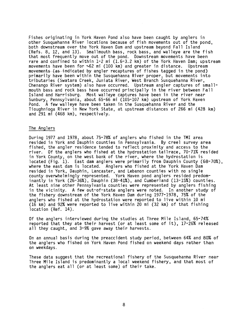Fishes originating in York Haven Pond also have been caught by anglers in other Susquehanna River locations because of fish movements out of the pond, both downstream over the York Haven Dam and upstream beyond Fall Island (Refs. 8, 12, and 13). Smallmouth bass, rock bass, and walleye are the fish that most frequently move out of the pond. Downstream movements have been rare and confined to within 1-2 mi (1.6-3.2 km) of the York Haven Dam; upstream movements have been for ~62 mi (100 km) and greater in distance. Upstream movements  $(as-indicated-by-angled$  recaptures of fishes tagged in the pond) primarily have been within the Susquehanna River proper, but movements into tributaries (Swatara Creek, Juniata River, West Branch Susquehanna River, Chenango River system) also have occurred. Upstream angler captures of smallmouth bass and rock bass have occurred principally in the river between Fall Island and Harrisburg. Most walleye captures have been in the river near Sunbury, Pennsylvania, about 65-66 mi (105-107 km) upstream of York Haven Pond. A few walleye have been taken in the Susquehanna River and the Tioughnioga River in New York State, at upstream distances of 266 mi (428 km) and 291 mi (468 km), respectively.

#### The Anglers

During 1977 and 1978, about 75-78% of anglers who fished in the TMI area resided in York and Dauphin counties in Pennsylvania. By creel survey area fished, the angler residence tended to reflect proximity and access to the river. Of the anglers who fished at the hydrostation tailrace, 70-71% resided in York County, on the west bank of the river, where the hydrostation is located (Fig. 1). East dam anglers were primarily from Dauphin County (68-70%), where the east dam is located. Anglers who fished at the York Haven Dam resided in York, Dauphin, Lancaster, and Lebanon counties with no single county overwhelmingly represented. York Haven pond anglers resided predominantly in York (26-36%), Dauphin (38-41%), and Cumberland (13-15%) counties. At least nine other Pennsylvania counties were represented by anglers fishing in the vicinity. A few out-of-state anglers were noted. In another study of the fishery downstream of the York Haven Dam during 1977-1978, 75% of the anglers who fished at the hydrostation were reported to live within 10 mi (16 km) and 92% were reported to live within 20 mi (32 km) of that fishing location (Ref. 14).

Of the anglers interviewed during the studies at Three Mile Island, 65-74% reported that they ate their harvest (or at least some of it), 17-26% released all they caught, and 3-9% gave away their harvests.

On an annual basis during the preaccident study period, between 64% and 80% of the anglers who fished on York Haven Pond fished on weekend days rather than on weekdays.

These data suggest that the recreational fishery of the Susquehanna River near Three Mile Island is predominantly a local weekend fishery, and that most of the anglers eat all (or at least some) of their take.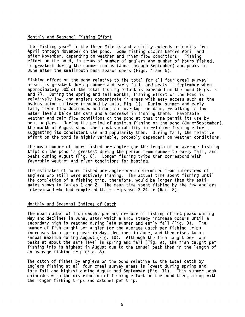#### Monthly and Seasonal Fishing Effort

The "fishing year" in the Three Mile Island vicinity extends primarily from April through November on the pond. Some fishing occurs before April and after November, depending on weather and river-flow conditions. Fishing effort on the pond, in terms of number of anglers and number of hours fished, is greatest during the summer months (June through September) and peaks in June after the smallmouth bass season opens (Figs. 4 and 5).

Fishing effort on the pond relative to the total for all four creel survey areas, is greatest during summer and early fall, and peaks in September when approximately 50% of the total fishing effort is expended on the pond (Figs. 6 and 7). During the spring and fall months, fishing effort on the Pond is relatively low, and anglers concentrate in areas with easy access such as the hydrostation tailrace (reached by auto, Fig. 1). During summer and early fall, river flow decreases and does not overtop the dams, resulting in low water levels below the dams and a decrease in fishing there. Favorable weather and calm flow conditions on the pond at that time permit its use by boat anglers. During the period of maximum fishing on the pond (June-September), the month of August shows the ·least variability in relative fishing effort, suggesting its consistent use and popularity then. During fall, the relative effort on the pond is highly variable, probably dependent on weather conditions.

The mean number of hours fished per angler (or the length of an average fishing trip) on the pond is greatest during the period from summer to early fall, and peaks during August (Fig. 8). Longer fishing trips then correspond with favorable weather and river conditions for boating.

The estimates of hours fished per angler were determined from interviews of anglers who still were actively fishing. The actual time spent fishing until the completion of a fishing trip, therefore, would be longer than the estimates shown in Tables 1 and 2. The mean time spent fishing by the few anglers interviewed who had completed their trips was 3.24 hr (Ref. 8).

#### Monthly and Seasonal Indices of Catch

The mean number of fish caught per angler-hour of fishing effort peaks during May and declines in June, after which a slow steady increase occurs until a secondary high is reached during late summer and early fall (Fig. 9). The number of fish caught per angler (or the average catch per fishing trip) increases to a spring peak in May, declines in June, and then rises to an annual maximum during August (Fig. 10). Although the fish caught per hour peaks at about the same level in spring and fall (Fig. 9), the fish caught per fishing trip is highest in August due to the annual peak then in the length of an average fishing trip (Fig. 8).

The catch of fishes by anglers on the pond relative to the total catch by anglers fishing at all four creel survey areas is lowest during spring and late fall and highest during August and September (Fig. 11). This summer peak coincides with the distribution of fishing effort on the pond then, along with the longer fishing trips and catches per trip.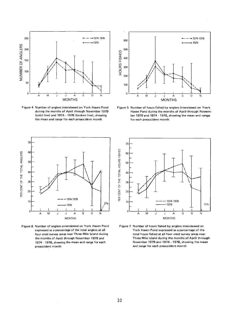

Figure 4 Number of anglers interviewed on York Haven Pond during the months of April through November 1979 (solid line) and 1974 -1978 (broken line), showing the mean and range for each preaccident month



Figure 5 Number of hours fished by anglers interviewed on York Haven Pond during the months of April through November 1979 and 1974- 1978, showing the mean and range for each preaccident month



Figure 6 Number of anglers onterviewed on York Haven Pond expressed as a percentage of the total anglers at all four creel survey areas near Three Mile Island during the months of April through November 1979 and 1974- 1978, showing the mean and range for each preaccident month



Figure 7 Number of hours fished by anglers interviewed on York Haven Pond expressed as a percentage of the total hours fished at all four creel survey areas near Three Mile Island during the months of April through November 1979 and 1974- 1978, showing the mean and range for each preaccident month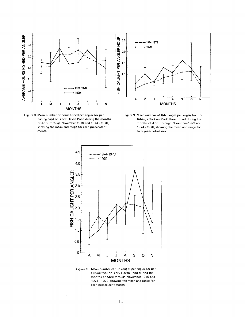



Figure 8 Mean number of hours fished per angler (or per fishing trip) on York Haven Pond during the months of April through November 1979 and 1974- 1978, showing the mean and range for each preaccident month





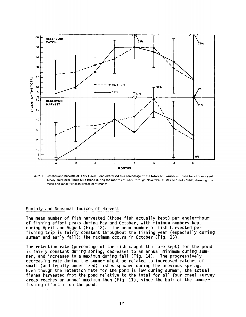

Figure 11 Catches and harvests of York Haven Pond expressed as a percentage of the totals (in numbers of fish) for all four creel survey areas near Three Mile Island during the months of April through November 1979 and 1974 -1978, showing the mean and range for each preaccident month

#### Monthly and Seasonal Indices of Harvest

The mean number of fish harvested (those fish actually kept) per angler-hour<br>of fishing effort peaks during May and October, with minimum numbers kept during April and August (Fig. 12). The mean number of fish harvested per fishing trip is fairly constant throughout the fishing year (especially during summer and early fall); the maximum occurs in October (Fig. 13).

The retention rate (percentage of the fish caught that are kept) for the pond is fairly constant during spring, decreases to an annual minimum during summer, and increases to a maximum during fall (Fig. 14). The progressively decreasing rate during the summer might be related to increased catches of small (and legally undersized) fishes spawned during the previous spring. Even though the retention rate for the pond is low during summer, the actual fishes harvested from the pond relative to the total for all four creel survey areas reaches an annual maximum then (Fig. 11), since the bulk of the summer fishing effort is on the pond.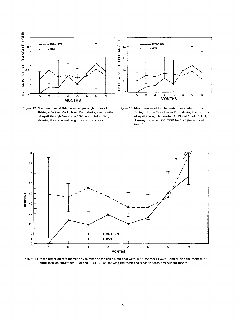

Figure 12 Mean number of fish harvested per angler hour of fishing effort on York Haven Pond during the months of April through November 1979 and 1974 -1978, showing the mean and range for each preaccident month



Figure 13 Mean number of fish harvested per angler (or per fishing trip) on York Haven Pond during the months of April through November 1979 and 1974- 1978, showing the mean and range for each preaccident month



Figure 14 Mean retention rate (percent by number of the fish caught that were kept) for York Haven Pond during the months of. April through November 1979 and 1974- 1978, showing the mean and range for each preaccident month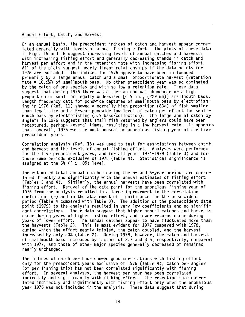#### Annual Effort, Catch, and Harvest

On an annual basis, the preaccident indices of catch and harvest appear correlated generally with levels of annual fishing effort. The plots of these data in Figs. 15 and 16 suggest increasing levels of annual catches and harvests with increasing fishing effort and generally decreasing trends in catch and harvest per effort and in the retention rate with increasing fishing effort. All of the plots suggest nearly linear relationships if the data points for<br>1976 are excluded. The indices for 1976 appear to have been influenced The indices for 1976 appear to have been influenced primarily by a large annual catch and a small proportionate harvest (retention rate =  $16.9\%$ ) of smallmouth bass. No other preaccident year was so dominated by the catch of one species and with so low a retention rate. These data suggest that during 1976 there was either an unusual abundance or a high proportion of small or legally undersized [< 9 in., (229 mm)] smallmouth bass. Length frequency data for pondwide captures of smallmouth bass by electrofishing in 1976 (Ref. 11) showed a normally high proportion (83%) of fish smaller than legal size and a 5-year pondwide low level of catch per effort for smallmouth bass by electrofishing (5.9 bass/collection). The large annual catch by anglers in 1976 suggests that small fish returned by anglers could have been recaptured, perhaps several times, resulting in a low harvest rate. It appears<br>that, overall, 1976 was the most unusual or anomalous fishing year of the five preaccident years.

Correlation analysis (Ref. 15) was used to test for associations between catch for the five preaccident years, and for all years 1974-1979 (Table 3) and for those same periods exclusive of 1976 (Table 4). Statistical significance is assigned at the 5% (P  $\leq$  .05) level.

The estimated total annual catches during the 5- and 6-year periods are correlated directly and significantly with the annual estimates of fishing effort (Tables 3 and 4). Similarly, the annual harvests have been correlated with fishing effort. Removal of the data point for the anomalous fishing year of 1976 from the analysis resulted in a large improvement in the correlation coefficient (r) and in the attainment of significance for the preaccident data<br>period (Table 4 compared with Table 3). The addition of the postaccident data point (1979) to the analysis resulted in very low coefficients and no significant correlations. These data suggest that higher annual catches and harvests occur during years of higher fishing effort, and lower returns occur during years of lower effort. The annual catches appear to have fluctuated more than the harvests (Table 2). This is most evident for 1977 compared with 1978, during which the effort nearly tripled, the catch doubled, and the harvest increased by only 50% (Table 2). During 1978, however, the catch and harvest of smallmouth bass increased by factors of 2.7 and 3.5, respectively, compared with 1977, and those of other major species generally decreased or remained nearly unchanged.

The indices of catch per hour showed good correlations with fishing effort only for the preaccident years exclusive of 1976 (Table 4); catch per angler (or per fishing trip) has not been correlated significantly with fishing<br>effort. In several analyses, the harvest per hour has been correlated In several analyses, the harvest per hour has been correlated indirectly and significantly with fishing effort. The retention rate correlated indirectly and significantly with fishing effort only when the anomalous year 1976 was not included in the analysis. These data suggest that during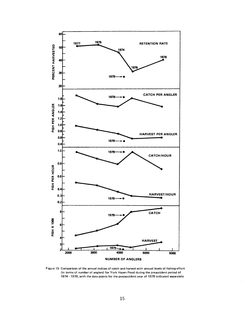

Figure 15 Comparison of the annual indices of catch and harvest with annual levels of fishing effort (in terms of number of anglers) for York Haven Pond during the preaccident period of 1974 - 1978, with the data points for the postaccident year of 1979 indicated separately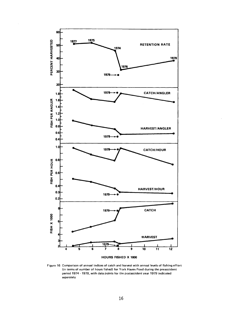

HOURS FISHED X 1000

Figure 16 Comparison of annual indices of catch and harvest with annual levels of fishing effort (in terms of number of hours fished) for York Haven Pond during the preaccident period 1974 - 1978, with data points for the postaccident year 1979 indicated separately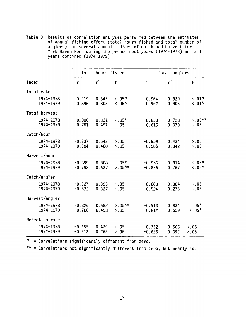|                        |                      | Total hours fished |                            | Total anglers        |                |                              |
|------------------------|----------------------|--------------------|----------------------------|----------------------|----------------|------------------------------|
| Index                  | $\mathbf{r}$         | $r^2$              | P                          | $\mathbf{r}$         | $r^2$          | P                            |
| Total catch            |                      |                    |                            |                      |                |                              |
| 1974-1978<br>1974-1979 | 0.919<br>0.896       | 0.845<br>0.803     | $\leq 0.05*$<br>$0.05*$    | 0.964<br>0.952       | 0.929<br>0.906 | $\leq 01^*$<br>$\leq 0.01*$  |
| Total harvest          |                      |                    |                            |                      |                |                              |
| 1974-1978<br>1974-1979 | 0.906<br>0.701       | 0.821<br>0.491     | $0.05*$<br>> 0.05          | 0.853<br>0.616       | 0.728<br>0.379 | $> 0.05***$<br>> 0.05        |
| Catch/hour             |                      |                    |                            |                      |                |                              |
| 1974-1978<br>1974-1979 | $-0.737$<br>$-0.684$ | 0.543<br>0.468     | > 0.05<br>> 0.05           | $-0.659$<br>$-0.585$ | 0.434<br>0.342 | > 0.05<br>> 0.05             |
| Harvest/hour           |                      |                    |                            |                      |                |                              |
| 1974-1978<br>1974-1979 | $-0.899$<br>$-0.798$ | 0.808<br>0.637     | $\leq 0.05*$<br>$>0.05***$ | $-0.956$<br>$-0.876$ | 0.914<br>0.767 | $\leq 0.05*$<br>$\leq 0.05*$ |
| Catch/angler           |                      |                    |                            |                      |                |                              |
| 1974-1978<br>1974-1979 | $-0.627$<br>$-0.572$ | 0.393<br>0.327     | > 0.05<br>> 0.05           | $-0.603$<br>$-0.524$ | 0.364<br>0.275 | 5.05<br>5.05                 |
| Harvest/angler         |                      |                    |                            |                      |                |                              |
| 1974-1978<br>1974-1979 | $-0.826$<br>$-0.706$ | 0.682<br>0.498     | $> 0.05$ **<br>> 0.05      | $-0.913$<br>$-0.812$ | 0.834<br>0.659 | $0.05*$<br>$0.05*$           |
| Retention rate         |                      |                    |                            |                      |                |                              |
| 1974-1978<br>1974-1979 | $-0.655$<br>$-0.513$ | 0.429<br>0.263     | > 0.05<br>> 0.05           | $-0.752$<br>$-0.626$ | 0.566<br>0.392 | > 0.05<br>> 0.05             |

Table 3 Results of correlation analyses performed between the estimates of annual fishing effort (total hours fished and total number of anglers) and several annual indices of catch and harvest for York Haven Pond during the preaccident years (1974-1978) and all years combined (1974-1979)

 $*$  = Correlations significantly different from zero.

 $**$  = Correlations not significantly different from zero, but nearly so.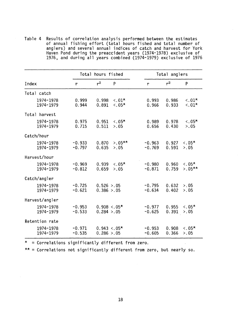| Table 4  Results of correlation analysis performed between the estimates |
|--------------------------------------------------------------------------|
| of annual fishing effort (total hours fished and total number of         |
| anglers) and several annual indices of catch and harvest for York        |
| Haven Pond during the preaccident years (1974-1978) exclusive of         |
| 1976, and during all years combined (1974-1979) exclusive of 1976        |
|                                                                          |

|                        | Total hours fished   |                                 |                              | Total anglers        |                |                              |
|------------------------|----------------------|---------------------------------|------------------------------|----------------------|----------------|------------------------------|
| Index                  | r                    | $r^2$                           | P                            | $\mathbf{r}$         | $r^2$          | P                            |
| Total catch            |                      |                                 |                              |                      |                |                              |
| 1974-1978<br>1974-1979 | 0.999<br>0.944       | 0.998<br>0.891                  | $\leq 0.01*$<br>$\leq 0.05*$ | 0.993<br>0.966       | 0.986<br>0.933 | $\leq 0.01*$<br>$\leq 01^*$  |
| Total harvest          |                      |                                 |                              |                      |                |                              |
| 1974-1978<br>1974-1979 | 0.975<br>0.715       | 0.951<br>0.511                  | $\leq 0.05*$<br>> 0.05       | 0.989<br>0.656       | 0.978<br>0.430 | $\leq 0.05*$<br>> 0.05       |
| Catch/hour             |                      |                                 |                              |                      |                |                              |
| 1974-1978<br>1974-1979 | $-0.933$<br>$-0.797$ | 0.870<br>0.635                  | $> 0.05$ **<br>> 0.05        | $-0.963$<br>$-0.769$ | 0.927<br>0.591 | $\leq 0.05*$<br>> 0.05       |
| Harvest/hour           |                      |                                 |                              |                      |                |                              |
| 1974-1978<br>1974-1979 | $-0.969$<br>$-0.812$ | 0.939<br>0.659                  | $\leq 0.05*$<br>> 0.05       | $-0.980$<br>$-0.871$ | 0.960<br>0.759 | $\leq 0.05^*$<br>$> 0.05$ ** |
| Catch/angler           |                      |                                 |                              |                      |                |                              |
| 1974-1978<br>1974-1979 | $-0.725$<br>$-0.621$ | 0.526 > 0.05<br>0.386 > 0.05    |                              | $-0.795$<br>$-0.634$ | 0.632<br>0.402 | > 0.05<br>> 0.05             |
| Harvest/angler         |                      |                                 |                              |                      |                |                              |
| 1974-1978<br>1974-1979 | $-0.953$<br>$-0.533$ | $0.908 < 0.05*$<br>0.284 > 0.05 |                              | $-0.977$<br>$-0.625$ | 0.955<br>0.391 | $\leq 0.05*$<br>> 0.05       |
| Retention rate         |                      |                                 |                              |                      |                |                              |
| 1974-1978<br>1974-1979 | $-0.971$<br>$-0.535$ | $0.943 < 0.05*$<br>0.286 > 0.05 |                              | $-0.953$<br>$-0.605$ | 0.908<br>0.366 | $\leq 0.05*$<br>5.05         |

 $*$  = Correlations significantly different from zero.

 $***$  = Correlations not significantly different from zero, but nearly so.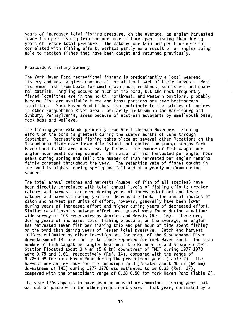years of increased total fishing pressure, on the average, an angler harvested fewer fish per fishing trip and per hour of time spent fishing than during years of lesser total pressure. The catches per trip and per hour were not correlated with fishing effort, perhaps partly as a result of an angler being able to recatch fishes that have been caught and returned previously.

#### Preaccident Fishery Summary

The York Haven Pond recreational fishery is predominantly a local weekend fishery and most anglers consume all or at least part of their harvest. Most fishermen fish from boats for smallmouth bass, rockbass, sunfishes, and channel catfish. Angling occurs on much of the pond, but the most frequently fished localities are in the north, northwest, and western portions, probably because fish are available there and those portions are near boat-access facilities. York Haven Pond fishes also contribute to the catches of anglers in other Susquehanna River areas, primarily upstream in the Harrisburg and Sunbury, Pennsylvania, areas because of upstream movements by smallmouth bass, rock bass and walleye.

The fishing year extends primarily from April through November. Fishing effort on the pond is greatest during the summer months of June through September. Recreational fishing takes place at several other locations on the Susquehanna River near Three Mile Island, but during the summer months York Haven Pond is the area most heavily fished. The number of fish caught per angler hour<br>angler hour peaks during summer. The number of fish harvested per angler hour peaks during spring and fall; the number of fish harvested per angler remains fairly constant throughout the year. The retention rate of fishes caught in the pond is highest during spring and fall and at a yearly minimum during summer.

The total annual catches and harvests (number of fish of all species) have been directly correlated with total annual levels of fishing effort; greater catches and harvests occurred during years of increased effort and lesser catches and harvests during years of decreased effort. The annual indices of catch and harvest per units of effort, however, generally have been lower during years of increased effort and higher during years of decreased effort. Similar relationships between effort and harvest were found during a nationwide survey of 103 reservoirs by Jenkins and Morais (Ref. 16). Therefore, during years of increased total fishing pressure, on the average, an angler has harvested fewer fish per fishing trip and per hour of time spent fishing on the pond than during years of lesser total pressure. Catch and harvest indices estimated by other investigators for areas of the Susquehanna River downstream of TMI are similar to those reported for York Haven Pond. The mean number of fish caught per angler hour near the Brunner Island Steam Electric Station [located about 3-4 mi (5-6 km) downstream of TMI] during 1977-1978 were 0.75 and 0.61, respectively (Ref. 14), compared with the range of 0.72-0.98 for York Haven Pond during the preaccident years (Table 2). The harvest per angler hour for the Conowingo Pond [located about 40 mi (64 km) downstream of TMI] during 1977-1978 was estimated to be 0.33 (Ref. 17), compared with the preaccident range of 0.28-0.50 for York Haven Pond (Table 2).

The year 1976 appears to have been an unusual or anomalous fishing year that was out of phase with the other preaccident years. That year, dominated by a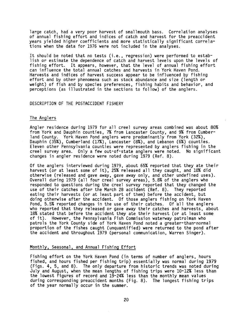large catch, had a very poor harvest of smallmouth bass. Correlation analyses<br>of annual fishing effort and indices of catch and harvest for the preaccident years yielded higher coefficients and more statistically significant correlations when the data for 1976 were not included in the analyses.

It should be noted that no tests (i.e., regression) were performed to establish or estimate the dependence of catch and harvest levels upon the levels of fishing effort. It appears, however, that the level of annual fishing effort can influence the total annual catches· and harvests in York Haven Pond. Harvests and indices of harvest success appear to be influenced by fishing effort and by other phenomena such as stock abundance and size (length or weight) of fish and by species preferences, fishing habits and behavior, and perceptions (as illustrated in the sections to follow) of the anglers.

#### DESCRIPTION OF THE POSTACCIDENT FISHERY

#### The Anglers

Angler residence during 1979 for all creel survey areas combined was about 80% from York and Dauphin counties, 7% from Lancaster County, and 9% from Cumberland County. York Haven Pond anglers were predominantly from York (32%), Dauphin (35%), Cumberland (17%), Lancaster (8%), and Lebanon (6%) counties. Eleven other Pennsylvania counties were represented by anglers fishing in the creel survey area. Only a few out-of-state anglers were noted. No significant changes in angler residence were noted during 1979 (Ref. 8).

Of the anglers interviewed during 1979, about 65% reported that they ate their harvest (or at least some of it), 25% released all they caught, and 10% did otherwise (released and gave away, gave away only, and other undefined uses). Overall during 1979 (all four creel survey areas), 5.8% of the anglers who responded to questions during the creel survey reported that they changed the use of their catches after the March 28 accident (Ref. 8). They reported eating their harvests (or at least part of them) before the accident, but doing otherwise after the accident. Of those anglers fishing on York Haven<br>Pond, 5.5% reported changes in the use of their catches. Of all the anglers who reported that they released or gave away their catches and harvests, about 18% stated that before the accident they ate their harvest (or at least some of it). However, the Pennsylvania Fish Commission waterway patrolman who<br>patrols the York County side of York Haven Pond noted a greater-than-normal proportion of the fishes caught (unquantified) were returned to the pond after the accident and throughout 1979 (personal communication, Warren Singer).

#### Monthly, Seasonal, and Annual Fishing Effort

Fishing effort on the York Haven Pond (in terms of number of anglers, hours fished, and hours fished per fishing trip) essentially was normal during 1979 (Figs. 4, 5, and 8). The only departure from historic trends was noted during<br>July and August, when the mean lengths of fishing trips were 10-12% less than the lowest figures of record and 19-24% less than the monthly mean values during corresponding preaccident months (Fig. 8). The longest fishing trips of the year normally occur in the summer.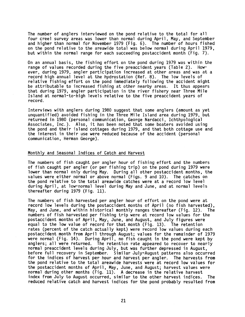The number of anglers interviewed on the pond relative to the total for all four creel survey areas was lower than normal during April, May, and September and higher than normal for November 1979 (Fig.  $6$ ). on the pond relative to the areawide total was below normal during April 1979, but within the normal range for each succeeding postaccident month (Fig. 7).

On an annual basis, the fishing effort on the pond during 1979 was within the range of values recorded during the five preaccident years (Table 2). However, during 1979, angler participation increased at other areas and was at a record high annual level at the hydrostation (Ref. 8). The low levels of relative fishing effort on the pond immediately following the accident might be attributable to increased fishing at other nearby areas. It thus appears that during 1979, angler participation in the river fishery near Three Mile Island at normal-to-high levels relative to the five preaccident years of record.

Interviews with anglers during 1980 suggest that some anglers (amount as yet unquantified) avoided fishing in the Three Mile Island area during 1979, but returned in 1980 (personal communication, George Nardacci, Ichthyological the pond and their island cottages during 1979, and that both cottage use and the interest in their use were reduced because of the accident (personal communication, Herman George).

#### Monthly and Seasonal Indices of Catch and Harvest

The numbers of fish caught per angler hour of fishing effort and the numbers of fish caught per angler (or per fishing trip) on the pond during 1979 were lower than normal only during May. During all other postaccident months, the values were either normal or above normal (Figs. 9 and 10). The catches on the pond relative to the total areawide catches were at a record low level during April, at low-normal level during May and June, and at normal levels thereafter during 1979 (Fig. 11).

The numbers of fish harvested per angler hour of effort on the pond were at record low levels during the postaccident months of April (no fish harvested), May, and June, and within historical monthly ranges thereafter (Fig. 12). The numbers of fish harvested per fishing trip were at record low values for the postaccident months of April, May, June, and August, and July figures were equal to the low value of record for that month (Fig. 13). The retention rates (percent of the catch actually kept) were record low values during each postaccident month from April through August; values for the remainder of 1979 were normal (Fig. 14). During April, no fish caught in the pond were kept by anglers; all were returned. The retention rate appeared to recover to nearly normal preaccident levels during July, but was further depressed in August, before full recovery in September. Similar July-August patterns also occurred for the indices of harvest per hour and harvest per angler. The harvests from the pond relative to the total areawide harvests were at record low values for the postaccident months of April, May, June, and August; harvest values were normal during other months (Fig. 11). A decrease in the relative harvest index from July to August occurred, similar to the other harvest indices. The reduced relative catch and harvest indices for the pond probably resulted from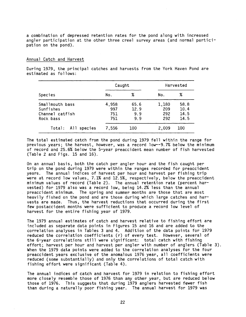a combination of depressed retention rates for the pond along with increased angler participation at the other three creel survey areas (and normal participation on the pond).

#### Annual Catch and Harvest

During 1979, the principal catches and harvests from the York Haven Pond are estimated as follows:

|                                                              | Caught                     |                            |                            | Harvested |
|--------------------------------------------------------------|----------------------------|----------------------------|----------------------------|-----------|
| Species                                                      | No.                        | X                          | No.                        | $\%$      |
| Smallmouth bass<br>Sunfishes<br>Channel catfish<br>Rock bass | 4,958<br>997<br>751<br>751 | 65.6<br>12.9<br>9.9<br>9.9 | 1,180<br>209<br>292<br>292 |           |
| All species<br>Total:                                        | 7,556                      | 100                        | 2,009                      | 100       |

The total estimated catch from the pond during 1979 fell within the range for previous years; the harvest, however, was a record low--9.7% below the minimum of record and 25.6% below the 5-year preaccident mean number of fish harvested (Table 2 and Figs. 15 and 16).

On an annual basis, both the catch per angler hour and the fish caught per trip on the pond during 1979 were within the ranges recorded for preaccident years. The annual indices of harvest per hour and harvest per fishing trip were at record low values, 7.1% and 12.5%, respectively, below the preaccident minimum values of record (Table 2). The annual retention rate (percent harvested) for 1979 also was a record low, being 14.2% less than the annual preaccident minimum. The spring and summer months are those that are most heavily fished on the pond and are those during which large catches and harvests are made. Thus, the harvest reductions that occurred during the first few postaccident months were sufficient to produce a record low level of harvest for the entire fishing year of 1979.

The 1979 annual estimates of catch and harvest relative to fishing effort are included as separate data points in Figures 15 and 16 and are added to the correlation analyses in Tables 3 and 4. Addition of the data points for 1979 reduced the correlation coefficients (r) of every test. However, several of the 6-year correlations still were significant: total catch with fishing effort; harvest per hour and harvest per angler with number of anglers (Table 3). When the 1979 data points were added to the correlation analyses for the four preaccident years exclusive of the anomalous 1976 year, all coefficients were reduced (some substantially) and only the correlations of total catch with fishing effort were significant (Table 4).

The annual indices of catch and harvest for 1979 in relation to fishing effort more closely resemble those of 1976 than any other year, but are reduced below those of 1976. This suggests that during 1979 anglers harvested fewer fish than during a naturally poor fishing year. The annual harvest for 1979 was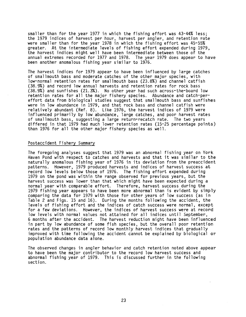smaller than for the year 1977 in which the fishing effort was 43-44% less; the 1979 indices of harvest per hour, harvest per angler, and retention rate were smaller than for the year 1978 in which the fishing effort was 45-55% greater. At the intermediate levels of fishing effort expended during 1979, the harvest indices might well have been intermediate between those of the annual extremes recorded for 1977 and 1978. The year 1979 does appear to have been another anomalous fishing year similar to 1976.

The harvest indices for 1979 appear to have been influenced by large catches of smallmouth bass and moderate catches of the other major species, with low-normal retention rates for smallmouth bass (23.8%) and channel catfish (38.9%) and record low annual harvests and retention rates for rock bass (38.9%) and sunfishes (21.3%). No other year had such across-the-board low retention rates for all the major fishery species. Abundance and catch-pereffort data from biological studies suggest that smallmouth bass and sunfishes were in low abundance in 1979, and that rock bass and channel catfish were relatively abundant (Ref. 8). Like 1976, the harvest indices of 1979 were influenced primarily by low abundance, large catches, and poor harvest rates<br>of smallmouth bass, suggesting a large return-recatch rate. The two years differed in that 1979 had much lower retention rates (15-25 percentage points) than 1976 for all the other major fishery species as well.

#### Postaccident Fishery Summary

The foregoing analyses suggest that 1979 was an abnormal fishing year on York Haven Pond with respect to catches and harvests and that it was similar to the naturally anomalous fishing year of 1976 in its deviation from the preaccident patterns. However, 1979 produced harvests and indices of harvest success at record low levels below those of 1976. The fishing effort expended during 1979 on the pond was within the range observed for previous years, but the harvest success was lower than that which might have been expected during a normal year with comparable effort. Therefore, harvest success during the 1979 fishing year appears to have been more abnormal than is evident by simply comparing the data for 1979 with those for other years of low success (as in Table 2 and Figs. 15 and 16). During the months following the accident, the levels of fishing effort and the indices of catch success were normal, except for a few deviations. However, the indices of harvest success were at record low levels with normal values not attained for all indices until September, 6 months after the accident. The harvest reduction might have been influenced in part by low abundance of some fish species, but the overall poor retention rates and the patterns of record low monthly harvest indices that gradually improved with time following the accident cannot be explained by biological or population abundance data alone.

The observed changes in angler behavior and catch retention noted above appear to have been the major contributor to the record low harvest success and abnormal fishing year of 1979. This is discussed further in the following section.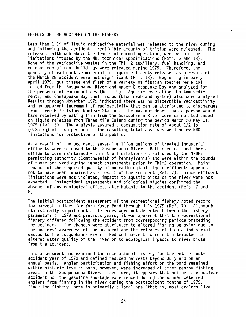#### EFFECTS OF THE ACCIDENT ON THE FISHERY

Less than 1 Ci of liquid radioactive material was released to the river during and following the accident. Negligible amounts of tritium were released. The releases, although above the levels of normal operation, were within the limitations imposed by the NRC technical specifications (Refs. 5 and 18). None of the radioactive wastes in the TMI- 2 auxiliary, fuel handling, and reactor containment buildings were released during 1979. Therefore, the quantity of radioactive material in liquid effluents released as a result of the March 28 accident were not significant (Ref. 18). Beginning in early April 1979, gut tissue and flesh of a variety of finfish species were collected from the Susquehanna River and upper Chesapeake Bay and analyzed for the presence of radionuclides (Ref. 19). Aquatic vegetation, bottom sediments, and Chesapeake Bay shellfishes (blue crab and oyster) also were analyzed. Results through November 1979 indicated there was no discernible radioactivity and no apparent increment of radioactivity that can be attributed to discharges from Three Mile Island Nuclear Station. The maximum doses that a person would have received by eating fish from the Susquehanna River were calculated based on liquid releases from Three Mile Island during the period March 28-May 11, 1979 (Ref. 5). The analysis assumed a consumption rate of about 1/2 lb (0.25 kg) of fish per meal. The resulting total dose was well below NRC limitations for protection of the public.

As a result of the accident, several million gallons of treated industrial effluents were released to the Susquehanna River. Both chemical and thermal effluents were maintained within the limitations established by the NPDESpermitting authority (Commonwealth of Pennsylvania) and were within the bounds of those analyzed during impact assessments prior to TMI-2 operation. Maintenance of the required quality of nonradiological liquid effluents appears not to have been impaired as a result of the accident (Ref. 7). Since effluent limitations were not violated, impacts to aquatic biota of the river were not expected. Postaccident assessments and biological studies confirmed the absence of any ecological effects attributable to the accident (Refs. 7 and 8).

The initial postaccident assessment of the recreational fishery noted record low harvest indices for York Haven Pond through July 1979 (Ref. 7). Although statistically significant differences were not detected between the fishery parameters of 1979 and previous years, it was apparent that the recreational fishery differed following the accident from corresponding periods preceding the accident. The changes were attributed to altered fishing behavior due to the anglers' awareness of the accident and the releases of liquid industrial wastes to the Susquehanna River. Reduced harvests were not attributed to altered water quality of the river or to ecological impacts to river biota from the accident.

This assessment has examined the recreational fishery for the entire post- accident year of 1979 and defined reduced harvests beyond July and on an annual basis. Angler participation and fishing effort on the pond remained within historic levels; both, however, were increased at other nearby fishing areas on the Susquehanna River. Therefore, it appears that neither the nuclear accident nor the gasoline shortage experienced during the summer deterred anglers from fishing in the tiver during the postaccident months of 1979. Since the fishery there is primarily a local one [that is, most anglers live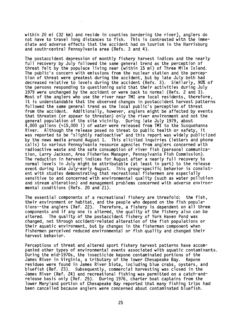within 20 mi (32 km) and reside in counties bordering the river], anglers do not have to travel long distances to fish. This is contrasted with the immediate and adverse effects that the accident had on tourism in the Harrisburg and south-central Pennsylvania area (Refs. 3 and 4).

The postaccident depression of monthly fishery harvest indices and the nearly full recovery by July followed the same general trend as the perception of threat felt by the populace living near (within 15 mi) of Three Mile Island.<br>The public's concern with emissions from the nuclear station and the perception of threat were greatest during the accident, but by late July both had decreased relative to levels during the accident (Refs. 3). Similarly, 90% of the persons responding to questioning said that their activities during July 1979 were unchanged by the accident or were back to normal (Refs. 2 and 3). Most of the anglers who use the river near TMI are local residents, therefore, it is understandable that the observed changes in postaccident harvest patterns followed the same general trend as the local public's perception of threat from the accident. Additionally, however, anglers might be affected by events that threaten (or appear to threaten) only the river environment and not the general population of the site vicinity. During late July 1979, about 4,000 gallons (~15,000 l) of water were released from TMI to the Susquehanna<br>River. Although the release posed no threat to public health or safety, it was reported to be "slightly radioactive" and this report was widely publicized<br>by the news media around August 1. This elicited inquiries (letters and phone<br>calls) to various Pennsylvania resource agencies from anglers co tion, Larry Jackson, Area Fisheries Manager, Pennsylvania Fish Commission). The reduction in harvest indices for August after a nearly full recovery to normal levels in July might be attributable (at least in part) to the release event during late July-early August. This group-specific behavior is consist-<br>ent with studies demonstrating that recreational fishermen are especially sensitive to and concerned with environmental quality (such as water pollution<br>and stream alteration) and management problems concerned with adverse environmental conditions (Refs. 20 and 21).

The essential components of a recreational fishery are threefold: the fish, their environment or habitat, and the people who depend on the fish popula- tions--the anglers (Ref. 22). Therefore, a fishery is dependent on all three components and if any one is altered, the quality of the fishery also can be altered. The quality of the postaccident fishery of York Haven Pond was changed, not through accident-related alteration of the fish populations or their aquatic environment, but by changes in the fisherman component when fishermen perceived reduced environmental or fish quality and changed their harvest behavior.

Perceptions of threat and altered sport fishery harvest patterns have accompanied other types of environmental events associated with aquatic contaminants. During the mid-1970s, the insecticide kepone contaminated portions of the James River in Virginia, a tributary of the lower Chesapeake Bay. residues were found in James River biota, including blue crabs, oysters, and bluefish (Ref. 23). Subsequently, commercial harvesting was closed in the James River (Ref. 24) and recreational fishing was permitted on a catch-andrelease basis only (Ref. 25). During 1976, charter boat captains from the lower Maryland portion of Chesapeake Bay reported that many fishing trips had been. cancelled because anglers were concerned about contaminated bluefish.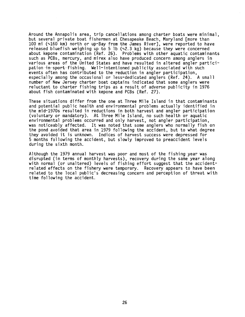Around the Annapolis area, trip cancellations among charter boats were minimal, but several private boat fishermen at Chesapeake Beach, Maryland [more than 100 mi (~160 km) north or up-Bay from the James River], were reported to have released bluefish weighing up to 5 lb  $(\sim 2.3 \text{ kg})$  because they were concerned about kepone contamination (Ref. 26). Problems with other aquatic contaminants such as PCBs, mercury, and mirex also have produced concern among anglers in various areas of the United States and have resulted in altered angler partici-<br>pation <del>in sport</del>-fishing. Well-intentioned publicity associated with such<br>events often has contributed to the reduction in angler participati especially among the occasional or less-dedicated anglers (Ref. 24). A small number of New Jersey charter boat captains indicated that some anglers were reluctant to charter fishing trips as a result of adverse publicity in 1976 about fish contaminated with kepone and PCBs (Ref. 27).

These situations differ from the one at Three Mile Island in that contaminants and potential public health and environmental problems actually identified in the mid-1970s resulted in reductions in both harvest and angler participation<br>(voluntary or mandatory). At Three Mile Island, no such health or aquatic<br>environmental problems occurred and only harvest, not angler participa was noticeably affected. It was noted that some anglers who normally fish on the pond avoided that area in 1979 following the accident, but to what degree they avoided it is unknown. Indices of harvest success were depressed for 5 months following the accident, but slowly improved to preaccident levels during the sixth month.

Although the 1979 annual harvest was poor and most of the fishing year was disrupted (in terms of monthly harvests), recovery during the same year along with normal (or unaltered) levels of fishing effort suggest that the accidentrelated effects on the fishery were temporary. Recovery appears to have been related to the local public's decreasing concern and perception of threat with time following the accident.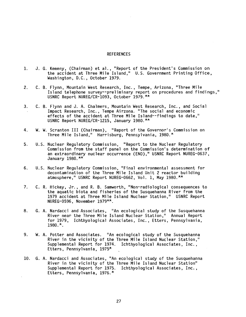#### REFERENCES

- 1. J. G. Kemeny, (Chairman) et al., "Report of the President's Commission on the accident at Three Mile Island," U.S. Government Printing Office, Washington, D.C., October 1979.
- 2. C. B. Flynn, Mountain West Research, Inc., Tempe, Arizona, "Three Mile Island telephone survey--preliminary report on procedures and findings," USNRC Report NUREG/CR-1093, October 1979.\*\*
- 3. C. B. Flynn and J. A. Chalmers, Mountain West Research, Inc., and Social Impact Research, Inc., Tempe Airzona. "The social and economic effects of the accident at Three Mile Island--findings to date," USNRC Report NUREG/CR-1215, January 1980.\*\*
- 4. W. W. Scranton III (Chairman), "Report of the Governor's Commission on Three Mile Island," Harrisburg, Pennsylvania, 1980.\*
- 5. U.S. Nuclear Regulatory Commission, "Report to the Nuclear Regulatory Commission from the staff panel on the Commission's determination of an extraordinary nuclear occurrence (ENO)," USNRC Report NUREG-0637, January 1980.\*\*
- 6. U.S. Nuclear Regulatory Commission, "Final environmental assessment for decontamination of the Three Mile Island Unit 2 reactor building atmosphere," USNRC Report NUREG-0662, Vol. 1, May 1980.\*\*
- 7. C. R. Hickey, Jr., and R. B. Samworth, "Non-radiological consequences to the aquatic biota and fisheries of the Susquehanna River from the 1979 accident at Three Mile Island Nuclear Station," USNRC Report NUREG-0596, November 1979\*\*.
- 8. G. A. Nardacci and Associates, "An ecological study of the Susquehanna River near the Three Mile Island Nuclear Station," Annual Report for 1979, Ichthyological Associates, Inc., Etters, Pennsylvania, 1980.\*.
- 9. W. A. Potter and Associates. "An ecological study of the Susquehanna River in the vicinity of the Three Mile Island Nuclear Station," Supplemental Report for 1974. Ichthyological Associates, Inc., Etters, Pennsylvania, 1975\*
- 10. G. A. Nardacci and Associates, "An ecological study of the Susquehanna River in the vicinity of the Three Mile Island Nuclear Station" Supplemental Report for 1975. Ichthyological Associates, Inc., Etters, Pennsylvania, 1976.\*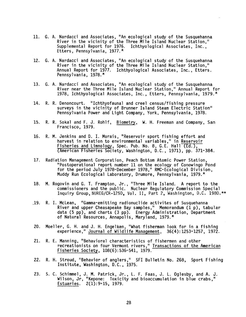- 11. G. A. Nardacci and Associates, "An ecological study of the Susquehanna River in the vicinity of the Three Mile Island Nuclear Station," Supplemental Report for 1976. Ichthyological Associates, Inc., Etters, Pennsylvania, 1977.\*
- 12. G. A. Nardacci and Associates, "An ecological study of the Susquehanna River in the vicinity of the Three Mile Island Nuclear Station." Annual Report for 1977. Ichthyological Associates, Inc., Etters. Pennsylvania, 1978.\*
- 13. G. A. Nardacci and Associates, "An ecological study of the Susquehanna<br>River near the Three Mile Island Nuclear Station," Annual Report for 1978, Ichthyological Associates, Inc., Etters, Pennsylvania, 1979.\*
- 14. R. R. Denoncourt. "Ichthyofaunal and creel census/fishing pressure surveys in the vicinity of Brunner Island Steam Electric Station" Pennsylvania Power and Light Company, York, Pennsylvania, 1978.
- 15. R. R. Sokal and F. J. Rohlf, Biometry, W. H. Freeman and Company, San Francisco, 1979.
- 16. R. M. Jenkins and D. I. Morais, "Reservoir sport fishing effort and harvest in relation to environmental variables," in Reservoir <code>Fisheries</code> and <code>Limnology, Spec. Pub. No. 8, G.E. Hall (Ed.),  $\,$ </code> (American Fisheries Society, Washington, D.C., 1971), pp. 371-384.
- 17. Radiation Management Corporation, Peach Bottom Atomic Power Station, <sup>11</sup> Postoperationa1 report number 11 on the ecology of Conowingo Pond for the period July 1978-December 1978," RMC-Ecological Division, Muddy Run Ecological Laboratory, Drumore, Pennsylvania, 1979.\*
- 18. M. Rogovin and G. T. Frampton, Jr., "Three Mile Island. A report to the commissioners and the public. Nuclear Regulatory Commission Special<br>Inquiry Group,NUREG/CR-1250, Vol. II, Part 2, Washington, D.C. 1980.\*\*
- .19. R. I. Mclean, 11Gamma-emitting radionuclide activites of Susquehanna River and upper Cheasapeake Bay samples," Memorandum  $(1 p)$ , tabular data (5 pp), and charts (3 pp). Energy Administration, Department of Natural Resources, Annapolis, Maryland, 1979.\*
- 20. Moeller, G. H. and J. H. Engelken, 11What fisherman look for in a fishing experience," Journal of Wildlife Management,  $36(4):1253-1257$ , 1972.
- 21. R. E. Manning, "Behavioral characteristics of fishermen and other recreationists on four Vermont rivers," Transactions of the American Fisheries Society, 108(6):536-541, 1979.
- 22. R. H. Stroud, "Behavior of anglers," SFI Bulletin No. 268, Sport Fishing<br>Institute, Washington, D.C., 1975.
- 23. S. C. Schimmel, J. M. Patrick, Jr., L. F. Faas, J. L. Oglesby, and A. J. Wilson, Jr, "Kepone: Toxicity and bioaccumulation in blue crabs," Estuaries. 2(1):9~15, 1979.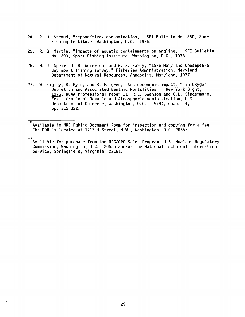- 24. R. H. Stroud, "Kepone/mirex contamination," SFI Bulletin No. 280, Sport Fishing Institute, Washington, D.C., 1976.
- 25. R. G. Martin, "Impacts of aquatic containments on angling," SFI Bulletin No. 293, Sport Fishing Institute, Washington, D.C., 1978.
- 26. H. J. Speir, D. R. Weinrich, and R. S. Early, "1976 Maryland Chesapeake Bay sport fishing survey," Fisheries Administration, Maryland Department of Natural Resources, Annapolis, Maryland, 1977.
- 27. W. Figley, B. Pyle, and B. Halgren, "Socioeconomic impacts," in Oxygen Depletion and Associated Benthic Mortalities in New York Bight, 1976, NOAA Professional Paper 11, R.L. Swanson and C.L. Sindermann, Eds. (National Oceanic and Atmospheric Administration, U.S. Department of Commerce, Washington, D.C., 1979), Chap. 14, pp. 315-322.

<sup>\*</sup>  Available in NRC Public Document Room for inspection and copying for a fee. The PDR is located at 1717 H Street, N.W., Washington, D.C. 20555.

<sup>\*\*</sup>  Available for purchase from the NRC/GPO Sales Program, U.S. Nuclear Regulatory Commission, Washington, D.C. 20555 and/or the National Technical Information Service, Springfield, Virginia 22161.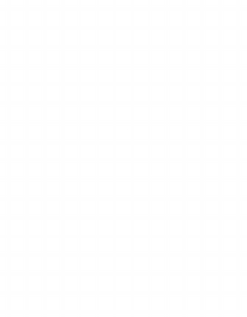$\label{eq:2.1} \frac{1}{\sqrt{2\pi}}\int_{0}^{\infty}\frac{1}{\sqrt{2\pi}}\left(\frac{1}{\sqrt{2\pi}}\right)^{2\alpha} \frac{1}{\sqrt{2\pi}}\int_{0}^{\infty}\frac{1}{\sqrt{2\pi}}\left(\frac{1}{\sqrt{2\pi}}\right)^{\alpha} \frac{1}{\sqrt{2\pi}}\frac{1}{\sqrt{2\pi}}\int_{0}^{\infty}\frac{1}{\sqrt{2\pi}}\frac{1}{\sqrt{2\pi}}\frac{1}{\sqrt{2\pi}}\frac{1}{\sqrt{2\pi}}\frac{1}{\sqrt{2\pi}}\frac{1}{\sqrt{2\$  $\label{eq:2.1} \frac{1}{\sqrt{2\pi}}\int_{\mathbb{R}^3}\frac{d\mu}{\sqrt{2\pi}}\left(\frac{d\mu}{\mu}\right)^2\frac{d\mu}{\mu}\left(\frac{d\mu}{\mu}\right)^2\frac{d\mu}{\mu}\left(\frac{d\mu}{\mu}\right)^2.$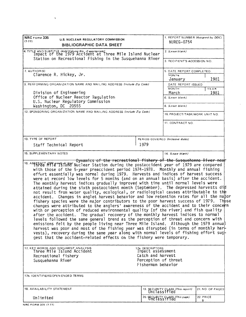| NRC FORM 335<br>U.S. NUCLEAR REGULATORY COMMISSION                                                                                                                                                                                                                                                                                                                                                                                                                                                                                                                                                                                                                                                                                                                                                                                                                                                                                                                                                                                                                                                                                                                                                                                                                                                                                                                                                                                                                                                                                                                | 1. REPORT NUMBER (Assigned by DDC)                                                   |                                                     |                 |  |  |
|-------------------------------------------------------------------------------------------------------------------------------------------------------------------------------------------------------------------------------------------------------------------------------------------------------------------------------------------------------------------------------------------------------------------------------------------------------------------------------------------------------------------------------------------------------------------------------------------------------------------------------------------------------------------------------------------------------------------------------------------------------------------------------------------------------------------------------------------------------------------------------------------------------------------------------------------------------------------------------------------------------------------------------------------------------------------------------------------------------------------------------------------------------------------------------------------------------------------------------------------------------------------------------------------------------------------------------------------------------------------------------------------------------------------------------------------------------------------------------------------------------------------------------------------------------------------|--------------------------------------------------------------------------------------|-----------------------------------------------------|-----------------|--|--|
| (7.77)<br><b>BIBLIOGRAPHIC DATA SHEET</b>                                                                                                                                                                                                                                                                                                                                                                                                                                                                                                                                                                                                                                                                                                                                                                                                                                                                                                                                                                                                                                                                                                                                                                                                                                                                                                                                                                                                                                                                                                                         | <b>NUREG-0754</b>                                                                    |                                                     |                 |  |  |
| 4. TITLE AND SUBTITLE <i>(Add Volume No. if appropriate)</i><br>Impact of the 1979 Accident at Three Mile Island Nuclear<br>Station on Recreational Fishing in the Susquehanna River                                                                                                                                                                                                                                                                                                                                                                                                                                                                                                                                                                                                                                                                                                                                                                                                                                                                                                                                                                                                                                                                                                                                                                                                                                                                                                                                                                              | 2. (Leave blank)<br>3. RECIPIENT'S ACCESSION NO.                                     |                                                     |                 |  |  |
|                                                                                                                                                                                                                                                                                                                                                                                                                                                                                                                                                                                                                                                                                                                                                                                                                                                                                                                                                                                                                                                                                                                                                                                                                                                                                                                                                                                                                                                                                                                                                                   |                                                                                      |                                                     |                 |  |  |
| 7. AUTHOR(S)<br>Clarence R. Hickey, Jr.                                                                                                                                                                                                                                                                                                                                                                                                                                                                                                                                                                                                                                                                                                                                                                                                                                                                                                                                                                                                                                                                                                                                                                                                                                                                                                                                                                                                                                                                                                                           | 5. DATE REPORT COMPLETED<br><b>MONTH</b>                                             |                                                     |                 |  |  |
|                                                                                                                                                                                                                                                                                                                                                                                                                                                                                                                                                                                                                                                                                                                                                                                                                                                                                                                                                                                                                                                                                                                                                                                                                                                                                                                                                                                                                                                                                                                                                                   |                                                                                      | January                                             | 1981            |  |  |
| 9. PERFORMING ORGANIZATION NAME AND MAILING ADDRESS (Include Zip Code)                                                                                                                                                                                                                                                                                                                                                                                                                                                                                                                                                                                                                                                                                                                                                                                                                                                                                                                                                                                                                                                                                                                                                                                                                                                                                                                                                                                                                                                                                            |                                                                                      | DATE REPORT ISSUED<br>MONTH                         | YEAR            |  |  |
| Division of Engineering                                                                                                                                                                                                                                                                                                                                                                                                                                                                                                                                                                                                                                                                                                                                                                                                                                                                                                                                                                                                                                                                                                                                                                                                                                                                                                                                                                                                                                                                                                                                           |                                                                                      | March                                               | 1981            |  |  |
| Office of Nuclear Reactor Regulation                                                                                                                                                                                                                                                                                                                                                                                                                                                                                                                                                                                                                                                                                                                                                                                                                                                                                                                                                                                                                                                                                                                                                                                                                                                                                                                                                                                                                                                                                                                              |                                                                                      | 6. (Leave blank)                                    |                 |  |  |
| U.S. Nuclear Regulatory Commission<br>Washington, DC 20555                                                                                                                                                                                                                                                                                                                                                                                                                                                                                                                                                                                                                                                                                                                                                                                                                                                                                                                                                                                                                                                                                                                                                                                                                                                                                                                                                                                                                                                                                                        |                                                                                      | 8. (Leave blank)                                    |                 |  |  |
| 12. SPONSORING ORGANIZATION NAME AND MAILING ADDRESS (Include Zip Code)                                                                                                                                                                                                                                                                                                                                                                                                                                                                                                                                                                                                                                                                                                                                                                                                                                                                                                                                                                                                                                                                                                                                                                                                                                                                                                                                                                                                                                                                                           |                                                                                      |                                                     |                 |  |  |
|                                                                                                                                                                                                                                                                                                                                                                                                                                                                                                                                                                                                                                                                                                                                                                                                                                                                                                                                                                                                                                                                                                                                                                                                                                                                                                                                                                                                                                                                                                                                                                   |                                                                                      | 10. PROJECT/TASK/WORK UNIT NO.                      |                 |  |  |
|                                                                                                                                                                                                                                                                                                                                                                                                                                                                                                                                                                                                                                                                                                                                                                                                                                                                                                                                                                                                                                                                                                                                                                                                                                                                                                                                                                                                                                                                                                                                                                   |                                                                                      | 11. CONTRACT NO.                                    |                 |  |  |
|                                                                                                                                                                                                                                                                                                                                                                                                                                                                                                                                                                                                                                                                                                                                                                                                                                                                                                                                                                                                                                                                                                                                                                                                                                                                                                                                                                                                                                                                                                                                                                   |                                                                                      |                                                     |                 |  |  |
|                                                                                                                                                                                                                                                                                                                                                                                                                                                                                                                                                                                                                                                                                                                                                                                                                                                                                                                                                                                                                                                                                                                                                                                                                                                                                                                                                                                                                                                                                                                                                                   |                                                                                      |                                                     |                 |  |  |
| 13. TYPE OF REPORT                                                                                                                                                                                                                                                                                                                                                                                                                                                                                                                                                                                                                                                                                                                                                                                                                                                                                                                                                                                                                                                                                                                                                                                                                                                                                                                                                                                                                                                                                                                                                |                                                                                      | PERIOD COVERED (Inclusive dates)                    |                 |  |  |
| Staff Technical Report                                                                                                                                                                                                                                                                                                                                                                                                                                                                                                                                                                                                                                                                                                                                                                                                                                                                                                                                                                                                                                                                                                                                                                                                                                                                                                                                                                                                                                                                                                                                            | 1979                                                                                 |                                                     |                 |  |  |
| 15. SUPPLEMENTARY NOTES                                                                                                                                                                                                                                                                                                                                                                                                                                                                                                                                                                                                                                                                                                                                                                                                                                                                                                                                                                                                                                                                                                                                                                                                                                                                                                                                                                                                                                                                                                                                           |                                                                                      | 14. (Leave blank)                                   |                 |  |  |
| Dynamics of the recreational fishery of the Susquehanna River near                                                                                                                                                                                                                                                                                                                                                                                                                                                                                                                                                                                                                                                                                                                                                                                                                                                                                                                                                                                                                                                                                                                                                                                                                                                                                                                                                                                                                                                                                                |                                                                                      |                                                     |                 |  |  |
| <sup>16. ABSTRACT</sup> MP1e <sup>or</sup> 's land' Nuclear Station during the postaccident year of 1979 are compared<br>with those of the 5-year preaccident period 1974-1978. Monthly and annual fishing<br>effurt essentially was normal during 1979. Harvests and indices of harvest success<br>were at record low levels for 5 months (and on an annual basis) after the accident.<br>The monthly harvest indices gradually improved with time until normal levels were<br>attained during the sixth postaccident month (September). The depressed harvests did<br>not result from water quality, ecological, or radiological causes attributable to the<br>accident. Changes in anglet harvest behavior and low retention rates for all the major<br>fishery species were the major contributors to the poor harvest success of 1979. Thbse<br>changes were attributed to the anglers' awareness of the accident and to their concern<br>with or perception of reduced environmental quality (of the river) and fish quality<br>after the accident. The gradual recovery of the monthly harvest indices to normal<br>levels followed the same general trend as the perception of threat and concern with<br>emissions felt by the people living near Three Mile Island. Although the 1979 annual<br>harvest was poor and most of the fishing year was disrupted (in terms of monthly har-<br>vests), recovery during the same year along with normal levels of fishing effort sug-<br>gest that the accident-related effects on the fishery were temporary. | 17a. DESCRIPTORS                                                                     |                                                     |                 |  |  |
| 17. KEY WORDS AND DOCUMENT ANALYSIS<br>Three Mile Island Accident<br>Recreational fishery<br>Susquehanna River                                                                                                                                                                                                                                                                                                                                                                                                                                                                                                                                                                                                                                                                                                                                                                                                                                                                                                                                                                                                                                                                                                                                                                                                                                                                                                                                                                                                                                                    | Impact assessment<br>Catch and harvest<br>Perception of threat<br>Fisherman behavior |                                                     |                 |  |  |
| 17b. IDENTIFIERS/OPEN-ENDED TERMS                                                                                                                                                                                                                                                                                                                                                                                                                                                                                                                                                                                                                                                                                                                                                                                                                                                                                                                                                                                                                                                                                                                                                                                                                                                                                                                                                                                                                                                                                                                                 |                                                                                      |                                                     |                 |  |  |
| 18. AVAILABILITY STATEMENT                                                                                                                                                                                                                                                                                                                                                                                                                                                                                                                                                                                                                                                                                                                                                                                                                                                                                                                                                                                                                                                                                                                                                                                                                                                                                                                                                                                                                                                                                                                                        |                                                                                      | 19. SECURITY CLASS (This report)<br>UNC lass if ied | 21. NO OF PAGES |  |  |
| Unlimited                                                                                                                                                                                                                                                                                                                                                                                                                                                                                                                                                                                                                                                                                                                                                                                                                                                                                                                                                                                                                                                                                                                                                                                                                                                                                                                                                                                                                                                                                                                                                         |                                                                                      | 22. PRICE<br>20. SECURITY CLASS (This page)<br>\$   |                 |  |  |

 $\hat{\mathbf{v}}$ 

 $\mathcal{N}(\mathcal{N})$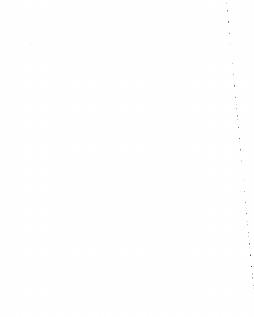$\label{eq:2.1} \frac{1}{\sqrt{2\pi}}\int_{0}^{\infty}\frac{1}{\sqrt{2\pi}}\left(\frac{1}{\sqrt{2\pi}}\int_{0}^{\infty}\frac{1}{\sqrt{2\pi}}\left(\frac{1}{\sqrt{2\pi}}\right)\frac{1}{\sqrt{2\pi}}\right)\frac{d\theta}{\sqrt{2\pi}}\,d\theta.$ 

 $\label{eq:2.1} \frac{1}{\sqrt{2}}\int_{\mathbb{R}^3}\frac{1}{\sqrt{2}}\left(\frac{1}{\sqrt{2}}\right)^2\left(\frac{1}{\sqrt{2}}\right)^2\left(\frac{1}{\sqrt{2}}\right)^2\left(\frac{1}{\sqrt{2}}\right)^2\left(\frac{1}{\sqrt{2}}\right)^2\left(\frac{1}{\sqrt{2}}\right)^2.$ 

 $\mathcal{L}^{\text{max}}_{\text{max}}$  and  $\mathcal{L}^{\text{max}}_{\text{max}}$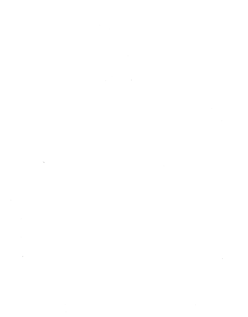$\label{eq:2.1} \frac{1}{\sqrt{2\pi}}\sum_{i=1}^n\frac{1}{\sqrt{2\pi}}\sum_{i=1}^n\frac{1}{\sqrt{2\pi}}\sum_{i=1}^n\frac{1}{\sqrt{2\pi}}\sum_{i=1}^n\frac{1}{\sqrt{2\pi}}\sum_{i=1}^n\frac{1}{\sqrt{2\pi}}\sum_{i=1}^n\frac{1}{\sqrt{2\pi}}\sum_{i=1}^n\frac{1}{\sqrt{2\pi}}\sum_{i=1}^n\frac{1}{\sqrt{2\pi}}\sum_{i=1}^n\frac{1}{\sqrt{2\pi}}\sum_{i=1}^n\$  $\label{eq:2.1} \frac{1}{2} \int_{\mathbb{R}^3} \left| \frac{d\mu}{d\mu} \right|^2 \, d\mu = \frac{1}{2} \int_{\mathbb{R}^3} \left| \frac{d\mu}{d\mu} \right|^2 \, d\mu = \frac{1}{2} \int_{\mathbb{R}^3} \left| \frac{d\mu}{d\mu} \right|^2 \, d\mu.$  $\label{eq:2.1} \frac{1}{\sqrt{2}}\int_{\mathbb{R}^3} \frac{d\mu}{\sqrt{2}} \, \frac{d\mu}{\sqrt{2}} \, \frac{d\mu}{\sqrt{2}} \, \frac{d\mu}{\sqrt{2}} \, \frac{d\mu}{\sqrt{2}} \, \frac{d\mu}{\sqrt{2}} \, \frac{d\mu}{\sqrt{2}} \, \frac{d\mu}{\sqrt{2}} \, \frac{d\mu}{\sqrt{2}} \, \frac{d\mu}{\sqrt{2}} \, \frac{d\mu}{\sqrt{2}} \, \frac{d\mu}{\sqrt{2}} \, \frac{d\mu}{\sqrt{2}} \, \frac{d\mu}{$  $\label{eq:2.1} \frac{1}{\sqrt{2}}\int_{\mathbb{R}^3}\frac{1}{\sqrt{2}}\left(\frac{1}{\sqrt{2}}\right)^2\frac{1}{\sqrt{2}}\left(\frac{1}{\sqrt{2}}\right)^2\frac{1}{\sqrt{2}}\left(\frac{1}{\sqrt{2}}\right)^2\frac{1}{\sqrt{2}}\left(\frac{1}{\sqrt{2}}\right)^2.$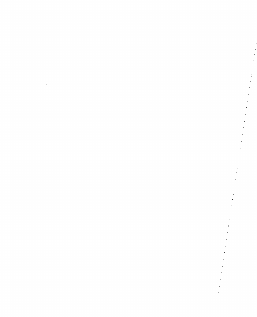$\label{eq:2.1} \frac{1}{\sqrt{2}}\left(\frac{1}{\sqrt{2}}\right)^{2} \left(\frac{1}{\sqrt{2}}\right)^{2} \left(\frac{1}{\sqrt{2}}\right)^{2} \left(\frac{1}{\sqrt{2}}\right)^{2} \left(\frac{1}{\sqrt{2}}\right)^{2} \left(\frac{1}{\sqrt{2}}\right)^{2} \left(\frac{1}{\sqrt{2}}\right)^{2} \left(\frac{1}{\sqrt{2}}\right)^{2} \left(\frac{1}{\sqrt{2}}\right)^{2} \left(\frac{1}{\sqrt{2}}\right)^{2} \left(\frac{1}{\sqrt{2}}\right)^{2} \left(\$ 

 $\mathcal{A}^{\text{max}}_{\text{max}}$  and  $\mathcal{A}^{\text{max}}_{\text{max}}$ 

 $\label{eq:2.1} \frac{1}{2} \int_{\mathbb{R}^3} \frac{1}{\sqrt{2\pi}} \int_{\mathbb{R}^3} \frac{1}{\sqrt{2\pi}} \int_{\mathbb{R}^3} \frac{1}{\sqrt{2\pi}} \int_{\mathbb{R}^3} \frac{1}{\sqrt{2\pi}} \int_{\mathbb{R}^3} \frac{1}{\sqrt{2\pi}} \int_{\mathbb{R}^3} \frac{1}{\sqrt{2\pi}} \int_{\mathbb{R}^3} \frac{1}{\sqrt{2\pi}} \int_{\mathbb{R}^3} \frac{1}{\sqrt{2\pi}} \int_{\mathbb{R}^3}$